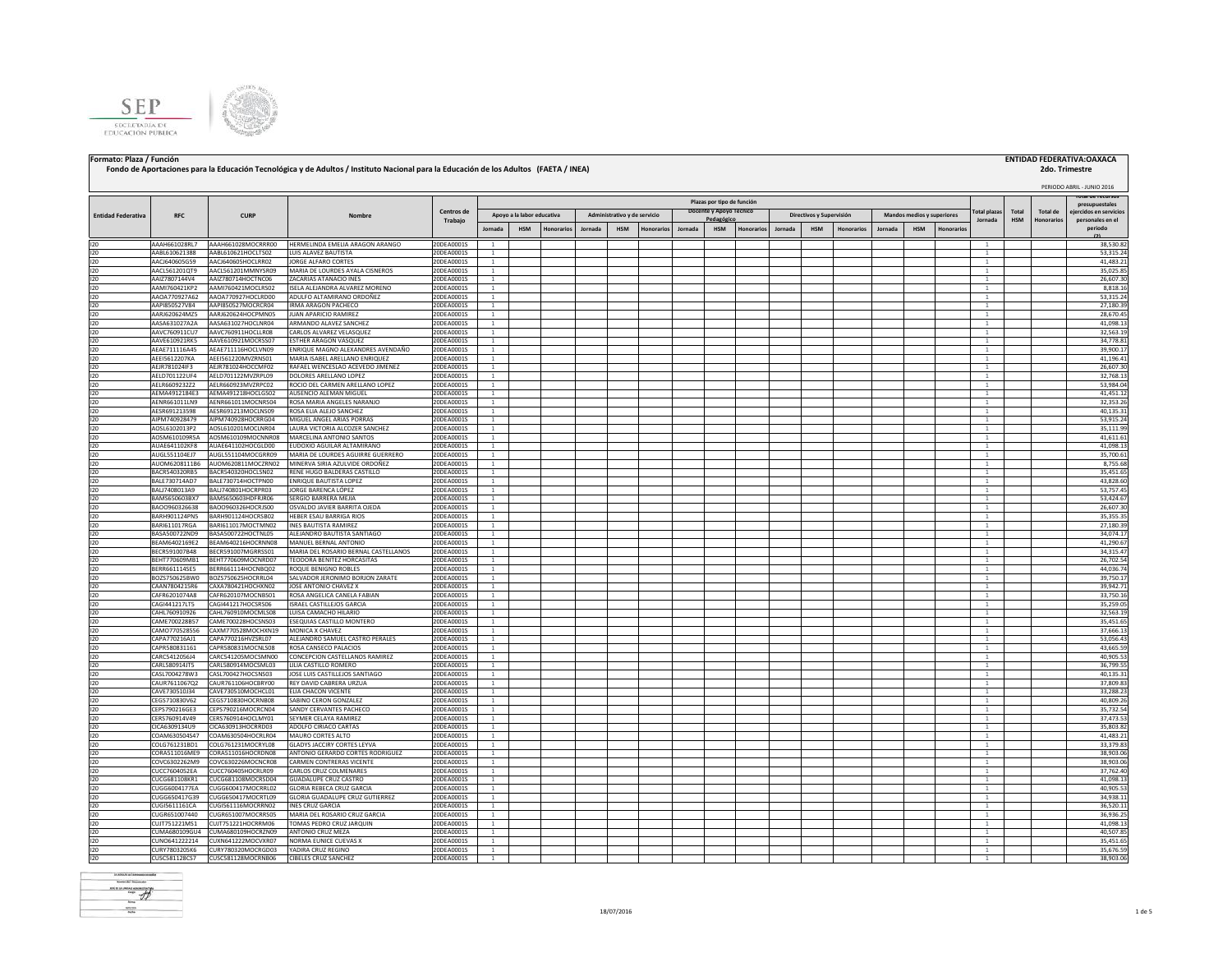



## **2do. Trimestre**

|                           |                                       |                                          |                                                                     |                          |                                  |                            |           |         |                              |            |         |                         |                   |         |                          |            |         |                            |            |                                  |            |                 | PERIODO ABRIL - JUNIO 2016<br>rotar de recursos |
|---------------------------|---------------------------------------|------------------------------------------|---------------------------------------------------------------------|--------------------------|----------------------------------|----------------------------|-----------|---------|------------------------------|------------|---------|-------------------------|-------------------|---------|--------------------------|------------|---------|----------------------------|------------|----------------------------------|------------|-----------------|-------------------------------------------------|
|                           |                                       |                                          |                                                                     |                          | Plazas por tipo de función       |                            |           |         |                              |            |         |                         |                   |         |                          |            |         |                            |            | presupuestales                   |            |                 |                                                 |
| <b>Entidad Federativa</b> | <b>RFC</b>                            | <b>CURP</b>                              | Nombre                                                              | Centros de               |                                  | Apovo a la labor educativa |           |         | Administrativo y de servicio |            |         | Docente y Apoyo Técnico |                   |         | Directivos y Supervisión |            |         | Mandos medios y superiores |            | <b>Total plazas</b>              | Total      | <b>Total de</b> | ejercidos en servicios                          |
|                           |                                       |                                          |                                                                     | <b>Trabaio</b>           |                                  |                            |           |         |                              |            |         | Pedagógio               |                   |         |                          |            |         |                            |            | Jornada                          | <b>HSM</b> | Honorario       | personales en el<br>periodo                     |
|                           |                                       |                                          |                                                                     |                          | Jornada                          | <b>HSM</b>                 | Ionorario | Jornada | HSM                          | Ionorarios | Jornada | <b>HSM</b>              | <b>Honorarios</b> | Jornada | <b>HSM</b>               | Honorarios | Jornada | HSM                        | Honorario: |                                  |            |                 | (2)                                             |
| 120                       | AAAH661028RL7                         | AAAH661028MOCRRR00                       | HERMELINDA EMELIA ARAGON ARANGO                                     | 20DEA0001S               | $\overline{1}$                   |                            |           |         |                              |            |         |                         |                   |         |                          |            |         |                            |            | -1                               |            |                 | 38.530.82                                       |
| $120 -$                   | AABL610621388                         | AABL610621HOCLTS02                       | <b>UIS ALAVEZ BAUTISTA</b>                                          | 20DEA0001S               | $\overline{1}$                   |                            |           |         |                              |            |         |                         |                   |         |                          |            |         |                            |            | $\mathbf{1}$                     |            |                 | 53.315.24                                       |
| 120                       | AACJ640605G59                         | AACJ640605HOCLRR02                       | <b>IORGE ALFARO CORTES</b>                                          | 20DEA0001S               | <sup>1</sup>                     |                            |           |         |                              |            |         |                         |                   |         |                          |            |         |                            |            | 1                                |            |                 | 41,483.21                                       |
| 120                       | AACL561201QT9                         | AACL561201MMNYSR09                       | MARIA DE LOURDES AYALA CISNEROS                                     | 20DEA0001S               |                                  |                            |           |         |                              |            |         |                         |                   |         |                          |            |         |                            |            |                                  |            |                 | 35,025.85                                       |
| 120                       | AAIZ7807144V4                         | AAIZ780714HOCTNC06                       | ZACARIAS ATANACIO INES                                              | 20DEA0001S               |                                  |                            |           |         |                              |            |         |                         |                   |         |                          |            |         |                            |            |                                  |            |                 | 26,607.30                                       |
| 120<br>120                | AAMI760421KP2                         | AAMI760421MOCLRS02                       | ISELA ALEJANDRA ALVAREZ MORENO                                      | 20DEA0001S               | $\overline{1}$                   |                            |           |         |                              |            |         |                         |                   |         |                          |            |         |                            |            | $\mathbf{1}$<br>$\overline{1}$   |            |                 | 8,818.16<br>53,315.24                           |
| 120                       | AAOA770927A62<br>AAPI850527V84        | AAOA770927HOCLRD00<br>AAPI850527MOCRCR04 | ADULFO ALTAMIRANO ORDOÑEZ<br>IRMA ARAGON PACHECO                    | 20DEA0001S<br>20DEA0001S | $\overline{1}$                   |                            |           |         |                              |            |         |                         |                   |         |                          |            |         |                            |            | $\overline{1}$                   |            |                 | 27,180.39                                       |
| 120                       | AARJ620624MZ5                         | AARJ620624HOCPMN05                       | JUAN APARICIO RAMIREZ                                               | 20DEA0001S               | $\overline{1}$                   |                            |           |         |                              |            |         |                         |                   |         |                          |            |         |                            |            | $\overline{1}$                   |            |                 | 28,670.49                                       |
| $120 -$                   | AASA631027A2A                         | AASA631027HOCLNR04                       | ARMANDO ALAVEZ SANCHEZ                                              | 20DEA0001S               | $\overline{1}$                   |                            |           |         |                              |            |         |                         |                   |         |                          |            |         |                            |            | $\mathbf{1}$                     |            |                 | 41.098.1                                        |
| 120                       | AAVC760911CU7                         | AAVC760911HOCLLR08                       | CARLOS ALVAREZ VELASQUEZ                                            | 20DEA0001S               | $\overline{1}$                   |                            |           |         |                              |            |         |                         |                   |         |                          |            |         |                            |            | $\mathbf{1}$                     |            |                 | 32,563.1                                        |
| 120                       | AAVE610921RK5                         | AAVE610921MOCRSS07                       | ESTHER ARAGON VASQUEZ                                               | 20DEA0001S               |                                  |                            |           |         |                              |            |         |                         |                   |         |                          |            |         |                            |            |                                  |            |                 | 34,778.8                                        |
| 120                       | AEAE711116A45                         | AEAE711116HOCLVN09                       | ENRIQUE MAGNO ALEXANDRES AVENDAÑO                                   | 20DEA0001S               | <sup>1</sup>                     |                            |           |         |                              |            |         |                         |                   |         |                          |            |         |                            |            | $\mathbf{1}$                     |            |                 | 39,900.1                                        |
| 120                       | AEEI5612207KA                         | AEEI561220MVZRNS01                       | MARIA ISABEL ARELLANO ENRIQUEZ                                      | 20DEA0001S               | <sup>1</sup>                     |                            |           |         |                              |            |         |                         |                   |         |                          |            |         |                            |            | $\mathbf{1}$                     |            |                 | 41,196.41                                       |
| 120                       | AEJR781024IF3                         | AEJR781024HOCCMF02                       | RAFAEL WENCESLAO ACEVEDO JIMENEZ                                    | 20DEA0001S               | <sup>1</sup>                     |                            |           |         |                              |            |         |                         |                   |         |                          |            |         |                            |            | $\mathbf{1}$                     |            |                 | 26,607.30                                       |
| 120                       | AELD701122UF4                         | AELD701122MVZRPL09                       | DOLORES ARELLANO LOPEZ                                              | 20DEA0001S               | $\overline{1}$                   |                            |           |         |                              |            |         |                         |                   |         |                          |            |         |                            |            | -1                               |            |                 | 32.768.1                                        |
| 120                       | AELR6609232Z2                         | AELR660923MVZRPC02                       | ROCIO DEL CARMEN ARELLANO LOPEZ                                     | 20DEA0001S               | <sup>1</sup>                     |                            |           |         |                              |            |         |                         |                   |         |                          |            |         |                            |            | $\mathbf{1}$                     |            |                 | 53,984.04                                       |
| 120                       | AEMA4912184E3                         | AEMA491218HOCLGS02                       | AUSENCIO ALEMAN MIGUEL                                              | 20DEA0001S               | <sup>1</sup>                     |                            |           |         |                              |            |         |                         |                   |         |                          |            |         |                            |            | 1                                |            |                 | 41,451.12                                       |
| 120                       | AENR661011LN9                         | AENR661011MOCNRS04                       | ROSA MARIA ANGELES NARANJO                                          | 20DEA0001S               | <sup>1</sup>                     |                            |           |         |                              |            |         |                         |                   |         |                          |            |         |                            |            | 1                                |            |                 | 32,353.26                                       |
| 120                       | AESR691213598                         | AESR691213MOCLNS09                       | ROSA ELIA ALEJO SANCHEZ                                             | 20DEA0001S               | -1                               |                            |           |         |                              |            |         |                         |                   |         |                          |            |         |                            |            | 1                                |            |                 | 40,135.31                                       |
| 120                       | AIPM740928479                         | AIPM740928HOCRRG04                       | MIGUEL ANGEL ARIAS PORRAS                                           | 20DEA0001S               | $\mathbf{1}$                     |                            |           |         |                              |            |         |                         |                   |         |                          |            |         |                            |            | $\mathbf{1}$                     |            |                 | 53,915.24                                       |
| 120                       | AOSL6102013P2                         | AOSL610201MOCLNR04                       | LAURA VICTORIA ALCOZER SANCHEZ                                      | 20DEA0001S               | $\mathbf{1}$                     |                            |           |         |                              |            |         |                         |                   |         |                          |            |         |                            |            | 1                                |            |                 | 35,111.99                                       |
| 120<br>120                | AOSM610109R5A                         | AOSM610109MOCNNR08<br>AUAE641102HOCGLD00 | MARCELINA ANTONIO SANTOS<br>EUDOXIO AGUILAR ALTAMIRANO              | 20DEA0001S<br>20DEA0001S |                                  |                            |           |         |                              |            |         |                         |                   |         |                          |            |         |                            |            |                                  |            |                 | 41,611.61<br>41,098.1                           |
|                           | AUAE641102KF8                         |                                          |                                                                     |                          | $\overline{1}$                   |                            |           |         |                              |            |         |                         |                   |         |                          |            |         |                            |            | $\overline{1}$                   |            |                 |                                                 |
| 120<br>120                | AUGL551104EJ7<br>AUOM6208111B6        | AUGL551104MOCGRR09<br>AUOM620811MOCZRN02 | MARIA DE LOURDES AGUIRRE GUERRERO<br>MINERVA SIRIA AZULVIDE ORDOÑEZ | 20DEA0001S<br>20DEA0001S | $\overline{1}$                   |                            |           |         |                              |            |         |                         |                   |         |                          |            |         |                            |            | $\overline{1}$                   |            |                 | 35,700.61<br>8,755.68                           |
| 120                       | BACR540320RB5                         | BACR540320HOCLSN02                       | <b>RENE HUGO BALDERAS CASTILLO</b>                                  | 20DEA0001S               | $\overline{1}$                   |                            |           |         |                              |            |         |                         |                   |         |                          |            |         |                            |            | $\overline{1}$                   |            |                 | 35,451.69                                       |
| 120                       | BALE730714AD7                         | BALE730714HOCTPN00                       | <b>ENRIQUE BAUTISTA LOPEZ</b>                                       | 20DEA0001S               | $\overline{1}$                   |                            |           |         |                              |            |         |                         |                   |         |                          |            |         |                            |            | $\mathbf{1}$                     |            |                 | 43.828.60                                       |
| 120                       | BALJ7408013A9                         | BALJ740801HOCRPR03                       | JORGE BARENCA LÓPEZ                                                 | 20DEA0001S               | $\overline{1}$                   |                            |           |         |                              |            |         |                         |                   |         |                          |            |         |                            |            | $\mathbf{1}$                     |            |                 | 53,757.45                                       |
| 120                       | BAMS650603BX7                         | BAMS650603HDFRJR06                       | SERGIO BARRERA MEIIA                                                | 20DEA0001S               | $\overline{1}$                   |                            |           |         |                              |            |         |                         |                   |         |                          |            |         |                            |            | $\mathbf{1}$                     |            |                 | 53,424.67                                       |
| 120                       | BAOO960326638                         | BAO0960326HOCRJS00                       | OSVALDO JAVIER BARRITA OJEDA                                        | 20DEA0001S               | $\mathbf{1}$                     |                            |           |         |                              |            |         |                         |                   |         |                          |            |         |                            |            | $\mathbf{1}$                     |            |                 | 26,607.30                                       |
| 120                       | BARH901124PN5                         | BARH901124HOCRSB02                       | HEBER ESAU BARRIGA RIOS                                             | 20DEA0001S               | $\mathbf{1}$                     |                            |           |         |                              |            |         |                         |                   |         |                          |            |         |                            |            | $\mathbf{1}$                     |            |                 | 35,355.35                                       |
| 120                       | BARI611017RGA                         | BARI611017MOCTMN02                       | INES BAUTISTA RAMIREZ                                               | 20DEA0001S               | <sup>1</sup>                     |                            |           |         |                              |            |         |                         |                   |         |                          |            |         |                            |            | <sup>1</sup>                     |            |                 | 27,180.39                                       |
| 120                       | BASA500722ND9                         | BASA500722HOCTNL05                       | ALEJANDRO BAUTISTA SANTIAGO                                         | 20DEA0001S               | <sup>1</sup>                     |                            |           |         |                              |            |         |                         |                   |         |                          |            |         |                            |            | 1                                |            |                 | 34,074.17                                       |
| 120                       | BEAM6402169E2                         | BEAM640216HOCRNN08                       | MANUEL BERNAL ANTONIO                                               | 20DEA0001S               | <sup>1</sup>                     |                            |           |         |                              |            |         |                         |                   |         |                          |            |         |                            |            | <sup>1</sup>                     |            |                 | 41,290.67                                       |
| 120                       | BECR591007B48                         | BECR591007MGRRSS01                       | MARIA DEL ROSARIO BERNAL CASTELLANOS                                | 20DEA0001S               | <sup>1</sup>                     |                            |           |         |                              |            |         |                         |                   |         |                          |            |         |                            |            | 1                                |            |                 | 34.315.47                                       |
| 120                       | BEHT770609MB1                         | BEHT770609MOCNRD07                       | EODORA BENITEZ HORCASITAS                                           | 20DEA0001S               | $\mathbf{1}$                     |                            |           |         |                              |            |         |                         |                   |         |                          |            |         |                            |            | 1                                |            |                 | 26,702.54                                       |
| 120                       | BERR661114SE5                         | BERR661114HOCNBQ02                       | ROQUE BENIGNO ROBLES                                                | 20DEA0001S               | -1                               |                            |           |         |                              |            |         |                         |                   |         |                          |            |         |                            |            | 1                                |            |                 | 44,036.74                                       |
| 120                       | BOZS750625BW0                         | BOZS750625HOCRRL04                       | ALVADOR JERONIMO BORJON ZARATE                                      | 20DEA0001S               | $\mathbf{1}$                     |                            |           |         |                              |            |         |                         |                   |         |                          |            |         |                            |            | $\mathbf{1}$                     |            |                 | 39,750.17                                       |
| 120                       | CAAN7804215R6                         | CAXA780421HOCHXN02                       | <b>IOSE ANTONIO CHAVEZ X</b>                                        | 20DEA0001S               |                                  |                            |           |         |                              |            |         |                         |                   |         |                          |            |         |                            |            |                                  |            |                 | 39,942.7                                        |
| 120                       | CAFR6201074A8                         | CAFR620107MOCNBS01                       | ROSA ANGELICA CANELA FABIAN                                         | 20DEA0001S               | $\overline{1}$                   |                            |           |         |                              |            |         |                         |                   |         |                          |            |         |                            |            | $\mathbf{1}$<br>$\mathbf{1}$     |            |                 | 33,750.16                                       |
| 120<br>$120 -$            | CAG1441217LT5<br>CAHL760910926        | CAGI441217HOCSRS06<br>CAHL760910MOCMLS08 | ISRAEL CASTILLEJOS GARCIA<br>LUISA CAMACHO HILARIO                  | 20DEA0001S<br>20DEA0001S | $\overline{1}$                   |                            |           |         |                              |            |         |                         |                   |         |                          |            |         |                            |            | $\mathbf{1}$                     |            |                 | 35,259.05<br>32,563.1                           |
| $120 -$                   | CAME700228B57                         | CAME700228HOCSNS03                       | <b>ESEQUIAS CASTILLO MONTERO</b>                                    | 20DEA0001S               | $\overline{1}$                   |                            |           |         |                              |            |         |                         |                   |         |                          |            |         |                            |            | $\overline{1}$                   |            |                 | 35,451.69                                       |
| 120                       | CAMO770528556                         | CAXM770528MOCHXN19                       | MONICA X CHAVEZ                                                     | 20DEA0001S               | $\overline{1}$                   |                            |           |         |                              |            |         |                         |                   |         |                          |            |         |                            |            | $\mathbf{1}$                     |            |                 | 37,666.1                                        |
| 120                       | CAPA770216AJ1                         | CAPA770216HVZSRL07                       | ALEJANDRO SAMUEL CASTRO PERALES                                     | 20DEA0001S               | $\overline{1}$                   |                            |           |         |                              |            |         |                         |                   |         |                          |            |         |                            |            | $\mathbf{1}$                     |            |                 | 53,056.43                                       |
| 120                       | CAPR580831161                         | CAPR580831MOCNLS08                       | ROSA CANSECO PALACIOS                                               | 20DEA0001S               | $\overline{1}$                   |                            |           |         |                              |            |         |                         |                   |         |                          |            |         |                            |            | $\mathbf{1}$                     |            |                 | 43,665.5                                        |
| 120                       | CARC5412056J4                         | CARC541205MOCSMN00                       | CONCEPCION CASTELLANOS RAMIREZ                                      | 20DEA0001S               | $\overline{1}$                   |                            |           |         |                              |            |         |                         |                   |         |                          |            |         |                            |            | $\mathbf{1}$                     |            |                 | 40,905.5                                        |
| 120                       | CARL580914JT5                         | CARL580914MOCSML03                       | LILIA CASTILLO ROMERO                                               | 20DEA0001S               | $\mathbf{1}$                     |                            |           |         |                              |            |         |                         |                   |         |                          |            |         |                            |            |                                  |            |                 | 36,799.5                                        |
| 120                       | CASL7004278W3                         | CASL700427HOCSNS03                       | JOSE LUIS CASTILLEJOS SANTIAGO                                      | 20DEA0001S               | <sup>1</sup>                     |                            |           |         |                              |            |         |                         |                   |         |                          |            |         |                            |            | $\mathbf{1}$                     |            |                 | 40,135.3                                        |
| 120                       | CAUR7611067Q2                         | CAUR761106HOCBRY00                       | REY DAVID CABRERA URZUA                                             | 20DEA0001S               | <sup>1</sup>                     |                            |           |         |                              |            |         |                         |                   |         |                          |            |         |                            |            | <sup>1</sup>                     |            |                 | 37,809.83                                       |
| 120                       | CAVE730510J34                         | CAVE730510MOCHCL01                       | ELIA CHACON VICENTE                                                 | 20DEA0001S               | <sup>1</sup>                     |                            |           |         |                              |            |         |                         |                   |         |                          |            |         |                            |            | $\mathbf{1}$                     |            |                 | 33,288.23                                       |
| 120                       | CEGS710830V62                         | CEGS710830HOCRNB08                       | SABINO CERON GONZALEZ                                               | 20DEA0001S               | <sup>1</sup>                     |                            |           |         |                              |            |         |                         |                   |         |                          |            |         |                            |            | $\mathbf{1}$                     |            |                 | 40,809.26                                       |
| 120                       | CEPS790216GE3                         | CEPS790216MOCRCN04                       | SANDY CERVANTES PACHECO                                             | 20DEA0001S               | <sup>1</sup>                     |                            |           |         |                              |            |         |                         |                   |         |                          |            |         |                            |            | $\mathbf{1}$                     |            |                 | 35,732.54                                       |
| 120                       | CERS760914V49                         | CERS760914HOCLMY01                       | SEYMER CELAYA RAMIREZ                                               | 20DEA0001S               | <sup>1</sup>                     |                            |           |         |                              |            |         |                         |                   |         |                          |            |         |                            |            | $\mathbf{1}$                     |            |                 | 37,473.53                                       |
| 120                       | CICA6309134U9                         | CICA630913HOCRRD03                       | ADOLFO CIRIACO CARTAS                                               | 20DEA0001S               | <sup>1</sup>                     |                            |           |         |                              |            |         |                         |                   |         |                          |            |         |                            |            | $\overline{1}$                   |            |                 | 35,803.82                                       |
| 120                       | COAM630504S47                         | COAM630504HOCRLR04                       | MAURO CORTES ALTO                                                   | 20DEA0001S               |                                  |                            |           |         |                              |            |         |                         |                   |         |                          |            |         |                            |            |                                  |            |                 | 41,483.21                                       |
| 120                       | COLG761231BD1                         | COLG761231MOCRYL08                       | <b>GLADYS JACCIRY CORTES LEYVA</b>                                  | 20DEA0001S               |                                  |                            |           |         |                              |            |         |                         |                   |         |                          |            |         |                            |            | $\mathbf{1}$                     |            |                 | 33,379.83                                       |
| 120                       | CORA511016ME9                         | CORA511016HOCRDN08                       | ANTONIO GERARDO CORTES RODRIGUEZ                                    | 20DEA0001S               | $\overline{1}$                   |                            |           |         |                              |            |         |                         |                   |         |                          |            |         |                            |            | $\mathbf{1}$                     |            |                 | 38,903.06                                       |
| 120                       | COVC6302262M9                         | COVC630226MOCNCR08                       | CARMEN CONTRERAS VICENTE                                            | 20DEA0001S               | $\overline{1}$<br>$\overline{1}$ |                            |           |         |                              |            |         |                         |                   |         |                          |            |         |                            |            | $\overline{1}$<br>$\overline{1}$ |            |                 | 38,903.06                                       |
| 120<br>120                | CUCC7604052EA                         | CUCC760405HOCRLR09<br>CUCG681108MOCRSD04 | CARLOS CRUZ COLMENARES                                              | 20DEA0001S               | $\overline{1}$                   |                            |           |         |                              |            |         |                         |                   |         |                          |            |         |                            |            | $\overline{1}$                   |            |                 | 37,762.40                                       |
| 120                       | CUCG681108KR1<br><b>CUGG6004177EA</b> | CUGG600417MOCRRL02                       | <b>GUADALUPE CRUZ CASTRO</b><br>GLORIA REBECA CRUZ GARCIA           | 20DEA0001S<br>20DEA0001S | $\overline{1}$                   |                            |           |         |                              |            |         |                         |                   |         |                          |            |         |                            |            | $\mathbf{1}$                     |            |                 | 41,098.13<br>40,905.53                          |
| 120                       | CUGG650417G39                         | CUGG650417MOCRTL09                       | GLORIA GUADALUPE CRUZ GUTIERREZ                                     | 20DEA0001S               | $\overline{1}$                   |                            |           |         |                              |            |         |                         |                   |         |                          |            |         |                            |            | $\overline{1}$                   |            |                 | 34,938.11                                       |
| 120                       | CUGI5611161CA                         | CUGI561116MOCRRN02                       | INES CRUZ GARCIA                                                    | 20DEA0001S               | <sup>1</sup>                     |                            |           |         |                              |            |         |                         |                   |         |                          |            |         |                            |            | $\mathbf{1}$                     |            |                 | 36,520.11                                       |
| 120                       | CUGR651007440                         | CUGR651007MOCRRS05                       | MARIA DEL ROSARIO CRUZ GARCIA                                       | 20DEA0001S               | $\mathbf{1}$                     |                            |           |         |                              |            |         |                         |                   |         |                          |            |         |                            |            |                                  |            |                 | 36,936.25                                       |
| 120                       | CUJT751221MS1                         | CUJT751221HOCRRM06                       | TOMAS PEDRO CRUZ JARQUIN                                            | 20DEA0001S               | <sup>1</sup>                     |                            |           |         |                              |            |         |                         |                   |         |                          |            |         |                            |            | $\mathbf{1}$                     |            |                 | 41,098.1                                        |
| 120                       | CUMA680109GU4                         | CUMA680109HOCRZN09                       | ANTONIO CRUZ MEZA                                                   | 20DEA0001S               | $\overline{1}$                   |                            |           |         |                              |            |         |                         |                   |         |                          |            |         |                            |            | $\mathbf{1}$                     |            |                 | 40.507.85                                       |
| 120                       | CUNO641222214                         | CUXN641222MOCVXR07                       | <b>NORMA EUNICE CUEVAS &gt;</b>                                     | 20DEA0001S               | $\mathbf{1}$                     |                            |           |         |                              |            |         |                         |                   |         |                          |            |         |                            |            | 1                                |            |                 | 35,451.65                                       |
| $120 -$                   | CURY780320SK6                         | CURY780320MOCRGD03                       | YADIRA CRUZ REGINO                                                  | 20DEA0001S               | $\overline{1}$                   |                            |           |         |                              |            |         |                         |                   |         |                          |            |         |                            |            | $\mathbf{1}$                     |            |                 | 35.676.59                                       |
| 120                       | CUSC581128CS7                         | CUSC581128MOCRNB06                       | <b>CIBELES CRUZ SANCHEZ</b>                                         | 20DEA0001S               | 1                                |                            |           |         |                              |            |         |                         |                   |         |                          |            |         |                            |            |                                  |            |                 | 38,903.06                                       |

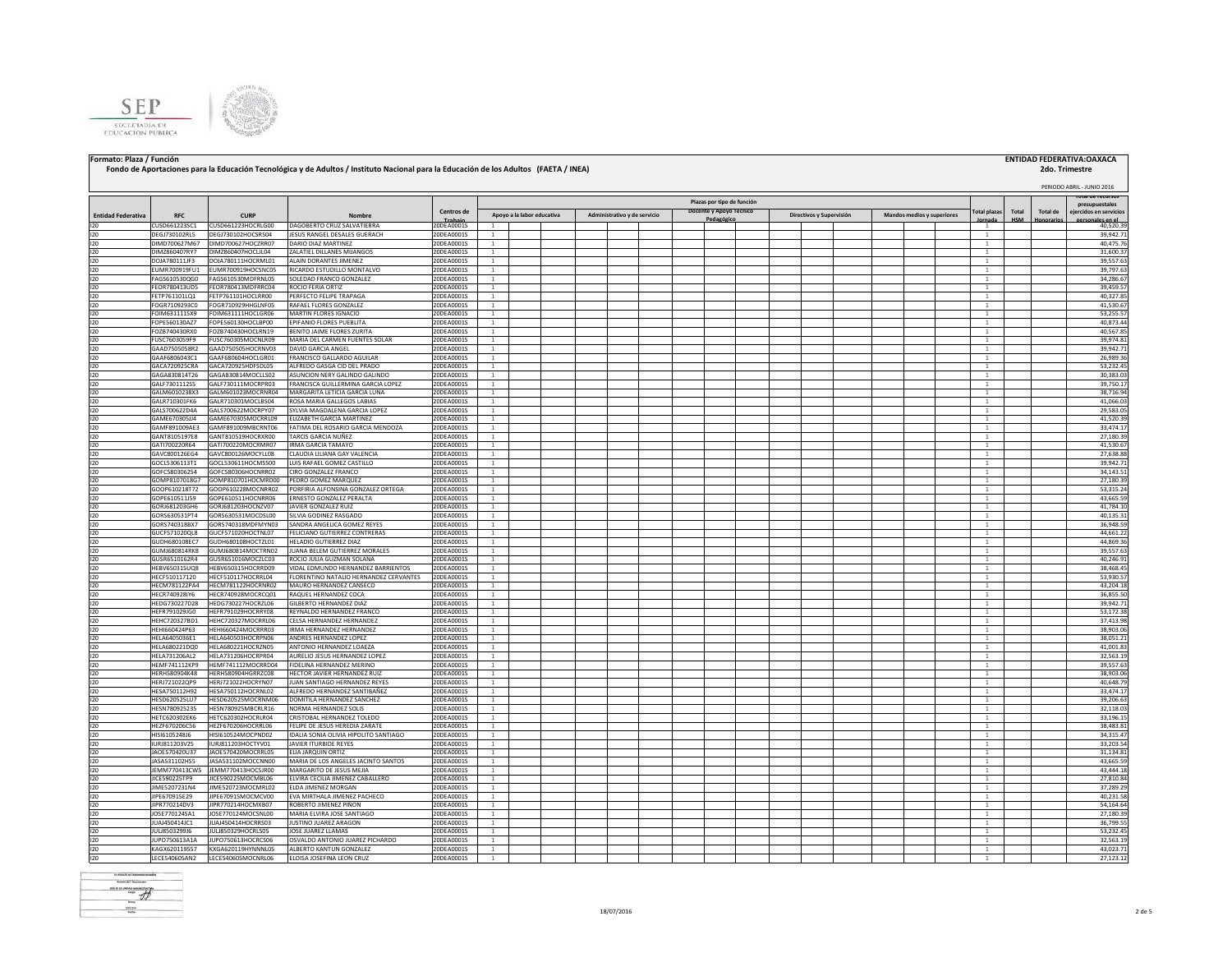



## **2do. Trimestre**

|                           |                                       |                                          |                                                                 |                          |                                                       |  |  |                              |  |  |           |  |              |                          |                                   |                              | PERIODO ABRIL - JUNIO 2016<br>rotar de recursos |  |                                            |
|---------------------------|---------------------------------------|------------------------------------------|-----------------------------------------------------------------|--------------------------|-------------------------------------------------------|--|--|------------------------------|--|--|-----------|--|--------------|--------------------------|-----------------------------------|------------------------------|-------------------------------------------------|--|--------------------------------------------|
|                           | <b>RFC</b>                            |                                          |                                                                 | Centros de               | Plazas por tipo de función<br>Docente y Apoyo Técnico |  |  |                              |  |  |           |  | 'otal plazas |                          | <b>Total de</b>                   | presupuestales               |                                                 |  |                                            |
| <b>Entidad Federativa</b> |                                       | <b>CURP</b>                              | Nombre                                                          | Trabaic                  | Apovo a la labor educativa                            |  |  | Administrativo y de servicio |  |  | Pedagógic |  |              | Directivos y Supervisión | <b>Mandos medios y superiores</b> | <b>Jornada</b>               | Total<br><b>HSM</b>                             |  | ejercidos en servicios<br>personales en el |
| 120                       | CUSD661223SC1                         | CUSD661223HOCRLG00                       | DAGOBERTO CRUZ SALVATIERRA                                      | 20DEA0001S               |                                                       |  |  |                              |  |  |           |  |              |                          |                                   | 1                            |                                                 |  | 40.520.39                                  |
| 120                       | DEGJ730102RL5                         | DEGJ730102HOCSRS04                       | JESUS RANGEL DESALES GUERACH                                    | 20DEA0001S               |                                                       |  |  |                              |  |  |           |  |              |                          |                                   | $\mathbf{1}$                 |                                                 |  | 39.942.7                                   |
| 120                       | DIMD700627M67                         | DIMD700627HOCZRR07                       | DARIO DIAZ MARTINEZ                                             | 20DEA0001S               |                                                       |  |  |                              |  |  |           |  |              |                          |                                   |                              |                                                 |  | 40,475.7                                   |
| 120                       | DIMZ860407RY7                         | DIMZ860407HOCLJL04                       | ZALATIEL DILLANES MIJANGOS                                      | 20DEA0001S               |                                                       |  |  |                              |  |  |           |  |              |                          |                                   | $\mathbf{1}$                 |                                                 |  | 31,600.37                                  |
| 120                       | DOJA780111JF3                         | DOJA780111HOCRML01                       | ALAIN DORANTES JIMENEZ                                          | 20DEA0001S               | $\mathbf{1}$                                          |  |  |                              |  |  |           |  |              |                          |                                   | $\mathbf{1}$                 |                                                 |  | 39,557.63                                  |
| 120                       | EUMR700919FU1                         | EUMR700919HOCSNC05                       | RICARDO ESTUDILLO MONTALVO                                      | 20DEA0001S               |                                                       |  |  |                              |  |  |           |  |              |                          |                                   | $\overline{1}$               |                                                 |  | 39,797.6                                   |
| 120                       | FAGS610530QG0                         | FAGS610530MDFRNL05                       | SOLEDAD FRANCO GONZALEZ                                         | 20DEA0001S               | $\mathbf{1}$                                          |  |  |                              |  |  |           |  |              |                          |                                   | $\overline{1}$               |                                                 |  | 34,286.6                                   |
| 120                       | FEOR780413UD5                         | FFOR780413MDFRRC04                       | ROCIO FERIA ORTIZ                                               | 20DEA0001S               | $\mathbf{1}$                                          |  |  |                              |  |  |           |  |              |                          |                                   | $\mathbf{1}$                 |                                                 |  | 39,459.57                                  |
| 120                       | FETP761101LQ1                         | FETP761101HOCLRR00                       | PERFECTO FELIPE TRAPAGA                                         | 20DEA0001S               | $\mathbf{1}$                                          |  |  |                              |  |  |           |  |              |                          |                                   | $\mathbf{1}$                 |                                                 |  | 40,327.8                                   |
| 120                       | FOGR7109293C0                         | FOGR710929HHGLNF05                       | RAFAEL FLORES GONZALEZ                                          | 20DEA0001S               | $\mathbf{1}$                                          |  |  |                              |  |  |           |  |              |                          |                                   | $\mathbf{1}$                 |                                                 |  | 41,530.6                                   |
| 120                       | FOIM631111SX9                         | FOIM631111HOCLGR06                       | MARTIN FLORES IGNACIO                                           | 20DEA0001S               |                                                       |  |  |                              |  |  |           |  |              |                          |                                   |                              |                                                 |  | 53,255.5                                   |
| 120                       | FOPE560130AZ7                         | FOPE560130HOCLBP00                       | EPIFANIO FLORES PUEBLITA                                        | 20DEA0001S               |                                                       |  |  |                              |  |  |           |  |              |                          |                                   |                              |                                                 |  | 40,873.44                                  |
| 120                       | FOZB740430RX0                         | FOZB740430HOCLRN19                       | BENITO JAIME FLORES ZURITA                                      | 20DEA0001S               | <sup>1</sup>                                          |  |  |                              |  |  |           |  |              |                          |                                   | $\mathbf{1}$                 |                                                 |  | 40,567.89                                  |
| 120                       | <b>FUSC7603059E9</b>                  | FUSC760305MOCNLR09                       | MARIA DEL CARMEN FUENTES SOLAR                                  | 20DEA0001S               | <sup>1</sup>                                          |  |  |                              |  |  |           |  |              |                          |                                   | -1                           |                                                 |  | 39,974.81                                  |
| 120                       | GAAD7505058R2                         | GAAD750505HOCRNV03                       | DAVID GARCIA ANGEL                                              | 20DEA0001S               | <sup>1</sup>                                          |  |  |                              |  |  |           |  |              |                          |                                   | $\mathbf{1}$                 |                                                 |  | 39.942.7                                   |
| 120                       | GAAF6806043C1                         | GAAF680604HOCLGR01                       | FRANCISCO GALLARDO AGUILAR                                      | 20DEA0001S               | $\mathbf{1}$                                          |  |  |                              |  |  |           |  |              |                          |                                   | $\mathbf{1}$                 |                                                 |  | 26,989.36                                  |
| 120                       | GACA720925CRA                         | GACA720925HDFSDL05                       | ALFREDO GASGA CID DEL PRADO                                     | 20DEA0001S               |                                                       |  |  |                              |  |  |           |  |              |                          |                                   | $\mathbf{1}$                 |                                                 |  | 53,232.45                                  |
| 120                       | GAGA830814T26                         | GAGA830814MOCLLS02                       | ASUNCION NERY GALINDO GALINDO                                   | 20DEA0001S               |                                                       |  |  |                              |  |  |           |  |              |                          |                                   |                              |                                                 |  | 30,383.03                                  |
| 120                       | GALF7301112S5                         | GALF730111MOCRPR03                       | FRANCISCA GUILLERMINA GARCIA LOPEZ                              | 20DEA0001S               |                                                       |  |  |                              |  |  |           |  |              |                          |                                   |                              |                                                 |  | 39,750.17                                  |
| 120                       | GALM6010238X3                         | GALM601023MOCRNR04                       | MARGARITA LETICIA GARCIA LUNA                                   | 20DEA0001S               | $\mathbf{1}$                                          |  |  |                              |  |  |           |  |              |                          |                                   | $\mathbf{1}$                 |                                                 |  | 38,716.94                                  |
| 120                       | GALR710301FK6                         | GALR710301MOCLBS04                       | ROSA MARIA GALLEGOS LABIAS                                      | 20DEA0001S               | $\overline{1}$                                        |  |  |                              |  |  |           |  |              |                          |                                   | $\mathbf{1}$                 |                                                 |  | 41,066.03                                  |
| 120                       | GALS700622D4A                         | GALS700622MOCRPY07                       | SYLVIA MAGDALENA GARCIA LOPEZ                                   | 20DEA0001S               |                                                       |  |  |                              |  |  |           |  |              |                          |                                   | $\overline{1}$               |                                                 |  | 29.583.0                                   |
| 120                       | GAME670305114                         | GAME670305MOCRRL09                       | <b>FLIZARETH GARCIA MARTINEZ</b>                                | 20DEA0001S               | $\mathbf{1}$                                          |  |  |                              |  |  |           |  |              |                          |                                   | $\mathbf{1}$                 |                                                 |  | 41,520.39                                  |
| 120                       | GAMF891009AE3                         | GAMF891009MBCRNT06                       | FATIMA DEL ROSARIO GARCIA MENDOZA                               | 20DEA0001S               | $\overline{1}$                                        |  |  |                              |  |  |           |  |              |                          |                                   | $\mathbf{1}$                 |                                                 |  | 33,474.17                                  |
| 120                       | GANT8105197E8                         | GANT810519HOCRXR00                       | TARCIS GARCIA NUÑEZ                                             | 20DEA0001S               |                                                       |  |  |                              |  |  |           |  |              |                          |                                   | $\mathbf{1}$                 |                                                 |  | 27,180.39                                  |
| 120                       | GATI700220R64                         | GATI700220MOCRMR07                       | <b>IRMA GARCIA TAMAYO</b>                                       | 20DEA0001S               | $\mathbf{1}$                                          |  |  |                              |  |  |           |  |              |                          |                                   | $\mathbf{1}$                 |                                                 |  | 41.530.6                                   |
| 120                       | GAVC800126EG4                         | GAVC800126MOCYLL08                       | CLAUDIA LILIANA GAY VALENCIA                                    | 20DEA0001S               | $\mathbf{1}$                                          |  |  |                              |  |  |           |  |              |                          |                                   | $\mathbf{1}$                 |                                                 |  | 27,638.88                                  |
| 120                       | GOCL5306113T1                         | GOCL530611HOCMSS00                       | LUIS RAFAEL GOMEZ CASTILLO                                      | 20DEA0001S               |                                                       |  |  |                              |  |  |           |  |              |                          |                                   | $\mathbf{1}$                 |                                                 |  | 39.942.71                                  |
| 120                       | GOFC5803062S4                         | GOFC580306HOCNRR02                       | CIRO GONZALEZ FRANCO                                            | 20DEA0001S               | -1                                                    |  |  |                              |  |  |           |  |              |                          |                                   | $\mathbf{1}$                 |                                                 |  | 34.143.51                                  |
| 120                       | GOMP8107018G7                         | GOMP810701HOCMRD00                       | PEDRO GOMEZ MARQUEZ                                             | 20DEA0001S               | -1                                                    |  |  |                              |  |  |           |  |              |                          |                                   | $\mathbf{1}$                 |                                                 |  | 27,180.39                                  |
| 120                       | GOOP610218T72                         | GOOP610228MOCNRR02                       | PORFIRIA ALFONSINA GONZALEZ ORTEGA                              | 20DEA0001S               | -1                                                    |  |  |                              |  |  |           |  |              |                          |                                   | <sup>1</sup>                 |                                                 |  | 53.315.2                                   |
| 120                       | GOPE610511159                         | GOPF610511HOCNRR06                       | <b>FRNESTO GONZALEZ PERALTA</b>                                 | 20DEA0001S               | $\overline{1}$                                        |  |  |                              |  |  |           |  |              |                          |                                   | $\mathbf{1}$                 |                                                 |  | 43.665.5                                   |
| 120                       | GORJ681203GH6                         | GORJ681203HOCNZV07                       | JAVIER GONZALEZ RUIZ                                            | 20DEA0001S               | -1.                                                   |  |  |                              |  |  |           |  |              |                          |                                   | $\mathbf{1}$                 |                                                 |  | 41,784.10                                  |
| 120                       | GORS630531PT4                         | GORS630531MOCDSL00                       | SILVIA GODINEZ RASGADO                                          | 20DEA0001S               |                                                       |  |  |                              |  |  |           |  |              |                          |                                   |                              |                                                 |  | 40,135.31                                  |
| 120                       | GORS740318BX7                         | GORS740318MDFMYN03                       | SANDRA ANGELICA GOMEZ REYES                                     | 20DEA0001S               |                                                       |  |  |                              |  |  |           |  |              |                          |                                   |                              |                                                 |  | 36.948.5                                   |
| 120                       | GUCF571020QL8                         | GUCF571020HOCTNL07                       | FELICIANO GUTIERREZ CONTRERAS                                   | 20DEA0001S               |                                                       |  |  |                              |  |  |           |  |              |                          |                                   |                              |                                                 |  | 44,661.22                                  |
| 120                       | GUDH680108EC7                         | GUDH680108HOCTZL01                       | HELADIO GUTIERREZ DIAZ                                          | 20DEA0001S               | 1                                                     |  |  |                              |  |  |           |  |              |                          |                                   | $\mathbf{1}$                 |                                                 |  | 44,869.36                                  |
| 120                       | GUMJ680814RK8                         | GUMJ680814MOCTRN02                       | JUANA BELEM GUTIERREZ MORALES                                   | 20DEA0001S               |                                                       |  |  |                              |  |  |           |  |              |                          |                                   | $\overline{1}$               |                                                 |  | 39,557.63                                  |
| 120                       | GUSR6510162R4                         | GUSR651016MOCZLC03                       | ROCIO JULIA GUZMAN SOLANA                                       | 20DEA0001S               |                                                       |  |  |                              |  |  |           |  |              |                          |                                   | $\mathbf{1}$                 |                                                 |  | 40,246.9                                   |
| 120                       | HEBV650315UQ8                         | HEBV650315HOCRRD09                       | VIDAL EDMUNDO HERNANDEZ BARRIENTOS                              | 20DEA0001S               |                                                       |  |  |                              |  |  |           |  |              |                          |                                   | $\mathbf{1}$                 |                                                 |  | 38,468.4                                   |
| 120                       | HECF510117120                         | HECF510117HOCRRL04                       | FLORENTINO NATALIO HERNANDEZ CERVANTES                          | 20DEA0001S               |                                                       |  |  |                              |  |  |           |  |              |                          |                                   |                              |                                                 |  | 53,930.5                                   |
| 120                       | <b>HECM781122PA4</b>                  | HECM781122HOCRNR02                       | MAURO HERNANDEZ CANSECO                                         | 20DEA0001S               | $\mathbf{1}$                                          |  |  |                              |  |  |           |  |              |                          |                                   |                              |                                                 |  | 43,204.1                                   |
| 120                       | HECR740928IY6                         | HECR740928MOCRCQ01                       | RAQUEL HERNANDEZ COCA                                           | 20DEA0001S               | $\overline{1}$                                        |  |  |                              |  |  |           |  |              |                          |                                   | $\mathbf{1}$                 |                                                 |  | 36,855.50                                  |
| 120                       | HEDG730227D28                         | HEDG730227HOCRZL06                       | GILBERTO HERNANDEZ DIAZ                                         | 20DEA0001S               | $\overline{1}$                                        |  |  |                              |  |  |           |  |              |                          |                                   | $\mathbf{1}$                 |                                                 |  | 39,942.71                                  |
| 120                       | HEFR791029JG0                         | HEFR791029HOCRRY08                       | REYNALDO HERNANDEZ FRANCO                                       | 20DEA0001S               | <sup>1</sup>                                          |  |  |                              |  |  |           |  |              |                          |                                   | $\mathbf{1}$                 |                                                 |  | 53,172.38                                  |
| 120                       | HEHC720327BD1                         | HEHC720327MOCRRL06                       | CELSA HERNANDEZ HERNANDEZ                                       | 20DEA0001S               | -1                                                    |  |  |                              |  |  |           |  |              |                          |                                   | $\mathbf{1}$                 |                                                 |  | 37.413.9                                   |
| 120                       | FRIDADA DA HELIO                      | HEHI660424MOCRRR03                       | <b>IRMA HERNANDEZ HERNANDEZ</b>                                 | 20DEA0001S               | $\overline{1}$                                        |  |  |                              |  |  |           |  |              |                          |                                   | $\mathbf{1}$                 |                                                 |  | 38.903.06                                  |
| 120                       | HELA6405036E1                         | HELA640503HOCRPN06                       | ANDRES HERNANDEZ LOPEZ                                          | 20DEA0001S               | -1                                                    |  |  |                              |  |  |           |  |              |                          |                                   | $\mathbf{1}$                 |                                                 |  | 38,051.21                                  |
| 120                       | HELA680221DQ0                         | HELA680221HOCRZN05                       | ANTONIO HERNANDEZ LOAEZA                                        | 20DEA0001S               | 1.                                                    |  |  |                              |  |  |           |  |              |                          |                                   | -1                           |                                                 |  | 41,001.8                                   |
| 120                       | HELA731206AL2                         | HELA731206HOCRPR04                       | AURELIO JESUS HERNANDEZ LOPEZ                                   | 20DEA0001S               |                                                       |  |  |                              |  |  |           |  |              |                          |                                   |                              |                                                 |  | 32,563.1                                   |
| 120                       | HEMF741112KP9                         | HEMF741112MOCRRD04                       | FIDELINA HERNANDEZ MERINO                                       | 20DEA0001S               |                                                       |  |  |                              |  |  |           |  |              |                          |                                   |                              |                                                 |  | 39,557.6                                   |
| 120                       | HERH580904K48                         | HERH580904HGRRZC08                       | HECTOR JAVIER HERNANDEZ RUIZ                                    | 20DEA0001S               |                                                       |  |  |                              |  |  |           |  |              |                          |                                   |                              |                                                 |  | 38,903.06                                  |
| 120                       | HERJ721022QP9                         | HERJ721022HOCRYN07                       | JUAN SANTIAGO HERNANDEZ REYES                                   | 20DEA0001S               | $\overline{1}$                                        |  |  |                              |  |  |           |  |              |                          |                                   | $\mathbf{1}$                 |                                                 |  | 40,648.79                                  |
| 120                       | HFSA750112H92                         | HFSA750112HOCRNL02                       | ALEREDO HERNANDEZ SANTIBAÑEZ                                    | 20DEA0001S               | $\overline{1}$                                        |  |  |                              |  |  |           |  |              |                          |                                   | $\mathbf{1}$                 |                                                 |  | 33.474.1                                   |
| 120                       | HESD620525LU7                         | HESD620525MOCRNM06                       | DOMITILA HERNANDEZ SANCHEZ                                      | 20DEA0001S               | $\overline{1}$                                        |  |  |                              |  |  |           |  |              |                          |                                   | $\mathbf{1}$                 |                                                 |  | 39,206.63                                  |
| 120                       | HESN780925235                         | HESN780925MBCRLR16                       | NORMA HERNANDEZ SOLIS                                           | 20DEA0001S               |                                                       |  |  |                              |  |  |           |  |              |                          |                                   | $\mathbf{1}$                 |                                                 |  | 32.118.03                                  |
| 120                       | HETC620302EK6                         | HETC620302HOCRLR04                       | CRISTOBAL HERNANDEZ TOLEDO                                      | 20DEA0001S               |                                                       |  |  |                              |  |  |           |  |              |                          |                                   | $\mathbf{1}$                 |                                                 |  | 33,196.1                                   |
| 120                       | HEZF670206C56                         | HEZF670206HOCRRL06                       | FELIPE DE JESUS HEREDIA ZARATE                                  | 20DEA0001S               |                                                       |  |  |                              |  |  |           |  |              |                          |                                   |                              |                                                 |  | 38,483.81                                  |
| 120                       | HISI6105248J6                         | HISI610524MOCPND02                       | IDALIA SONIA OLIVIA HIPOLITO SANTIAGO                           | 20DEA0001S               | $\overline{1}$                                        |  |  |                              |  |  |           |  |              |                          |                                   | $\mathbf{1}$                 |                                                 |  | 34,315.47                                  |
|                           |                                       |                                          |                                                                 |                          | $\mathbf{1}$                                          |  |  |                              |  |  |           |  |              |                          |                                   |                              |                                                 |  |                                            |
| 120                       | IURJ811203V25<br>JAOE570420U37        | IURJ811203HOCTYV01<br>JAOE570420MOCRRL05 | JAVIER ITURBIDE REYES<br>ELIA JARQUIN ORTIZ                     | 20DEA0001S<br>20DEA0001S | $\overline{1}$                                        |  |  |                              |  |  |           |  |              |                          |                                   | $\mathbf{1}$<br>$\mathbf{1}$ |                                                 |  | 33,203.54<br>31,134.83                     |
| 120                       |                                       |                                          |                                                                 | 20DEA0001S               |                                                       |  |  |                              |  |  |           |  |              |                          |                                   |                              |                                                 |  |                                            |
| 120<br>120                | JASA531102HS5<br><b>IFMM770413CW5</b> | JASA531102MOCCNN00<br>IFMM770413HOCSIR00 | MARIA DE LOS ANGELES JACINTO SANTOS<br>MARGARITO DE IESUS MEIIA | 20DEA0001S               | 1                                                     |  |  |                              |  |  |           |  |              |                          |                                   | $\mathbf{1}$<br>$\mathbf{1}$ |                                                 |  | 43,665.5<br>43,444.18                      |
|                           |                                       |                                          |                                                                 |                          | $\mathbf{1}$                                          |  |  |                              |  |  |           |  |              |                          |                                   |                              |                                                 |  |                                            |
| 120                       | JICE590225TP9                         | JICE590225MOCMBL06                       | ELVIRA CECILIA JIMENEZ CABALLERO                                | 20DEA0001S               | 1                                                     |  |  |                              |  |  |           |  |              |                          |                                   | $\mathbf{1}$                 |                                                 |  | 27,810.84                                  |
| 120                       | IIME5207231N4                         | JIME520723MOCMRL02                       | ELDA JIMENEZ MORGAN                                             | 20DEA0001S               |                                                       |  |  |                              |  |  |           |  |              |                          |                                   |                              |                                                 |  | 37,289.29                                  |
| 120                       | JIPE670915E29                         | JIPE670915MOCMCV00                       | EVA MIRTHALA JIMENEZ PACHECO                                    | 20DEA0001S               |                                                       |  |  |                              |  |  |           |  |              |                          |                                   |                              |                                                 |  | 40.231.5                                   |
| 120                       | JIPR770214DV3                         | JIPR770214HOCMXB07                       | ROBERTO JIMENEZ PIÑON                                           | 20DEA0001S               |                                                       |  |  |                              |  |  |           |  |              |                          |                                   | $\mathbf{1}$                 |                                                 |  | 54,164.64                                  |
| 120                       | JOSE770124SA1                         | JOSE770124MOCSNL00                       | MARIA ELVIRA JOSE SANTIAGO                                      | 20DEA0001S               |                                                       |  |  |                              |  |  |           |  |              |                          |                                   | $\mathbf{1}$                 |                                                 |  | 27,180.3                                   |
| 120                       | JUAJ450414JC1                         | JUAJ450414HOCRRS03                       | JUSTINO JUAREZ ARAGON                                           | 20DEA0001S               |                                                       |  |  |                              |  |  |           |  |              |                          |                                   | $\overline{1}$               |                                                 |  | 36,799.5                                   |
| 120                       | JULJ8503299J6                         | JULJ850329HOCRLS05                       | <b>IOSE IUAREZ LLAMAS</b>                                       | 20DEA0001S               |                                                       |  |  |                              |  |  |           |  |              |                          |                                   | $\overline{1}$               |                                                 |  | 53,232.4                                   |
| 120                       | JUPO750613A1A                         | JUPO750613HOCRCS06                       | OSVALDO ANTONIO JUAREZ PICHARDO                                 | 20DEA0001S               |                                                       |  |  |                              |  |  |           |  |              |                          |                                   | $\mathbf{1}$                 |                                                 |  | 32,563.1                                   |
| 120                       | KAGX620119557                         | KXGA620119HYNNNL05                       | ALBERTO KANTUN GONZALEZ                                         | 20DEA0001S               |                                                       |  |  |                              |  |  |           |  |              |                          |                                   | $\mathbf{1}$                 |                                                 |  | 43,023.7                                   |
| 120                       | LECE540605AN2                         | LECE540605MOCNRL06                       | ELOISA JOSEFINA LEON CRUZ                                       | 20DEA0001S               |                                                       |  |  |                              |  |  |           |  |              |                          |                                   |                              |                                                 |  | 27,123.12                                  |

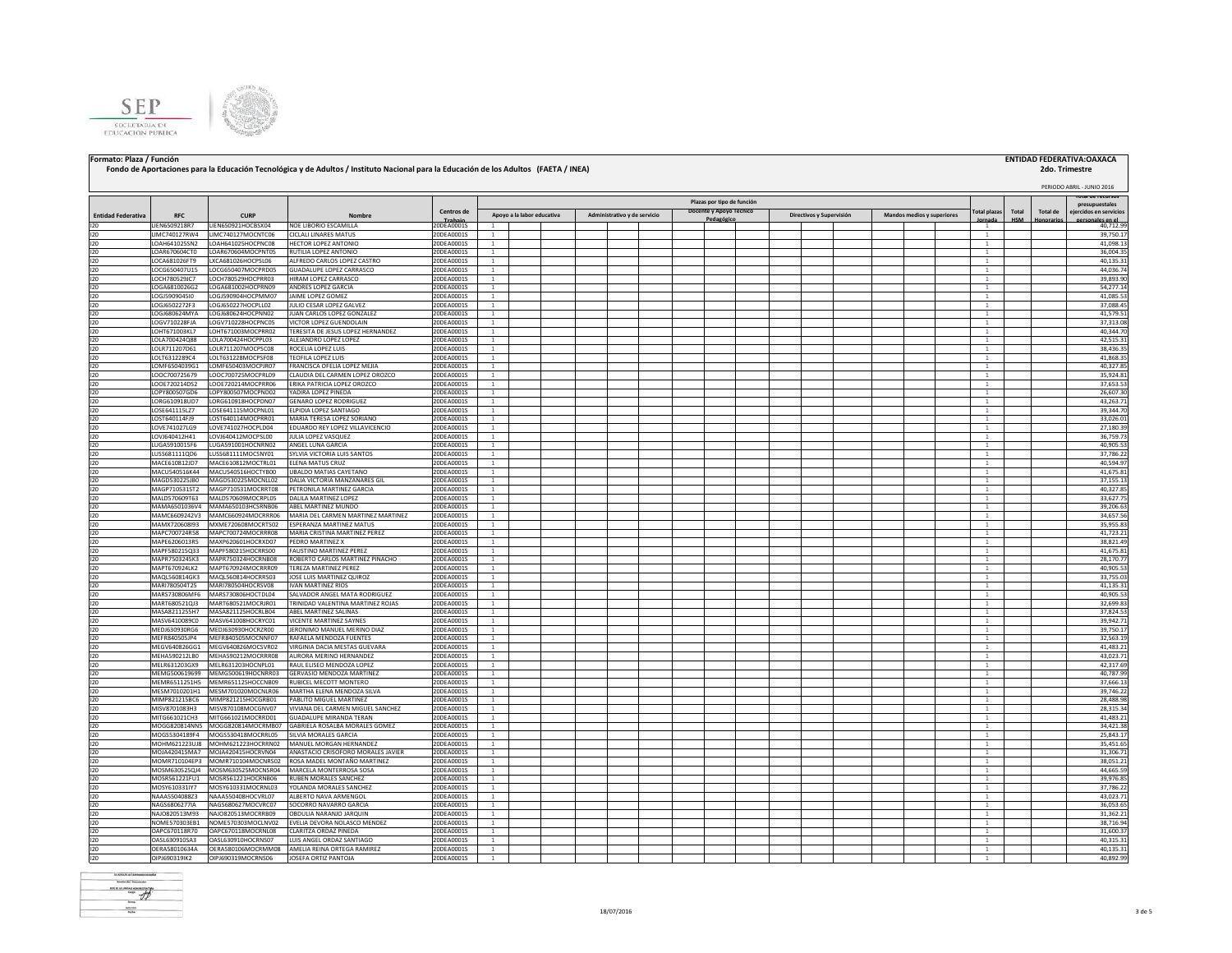



## PERIODO ABRIL - JUNIO 2016 **2do. Trimestre**

|                           |                                 |                                          |                                                          |                                    | <b>PERIODO ABRIL - JUNIO ZUI 6</b> |  |  |                              |  |                            |  |            |                          |  |  |                            |  | rotar de recursos   |              |                 |                        |  |                        |
|---------------------------|---------------------------------|------------------------------------------|----------------------------------------------------------|------------------------------------|------------------------------------|--|--|------------------------------|--|----------------------------|--|------------|--------------------------|--|--|----------------------------|--|---------------------|--------------|-----------------|------------------------|--|------------------------|
|                           | RFC                             | <b>CURP</b><br>LIEN650921HOCBSX04        | Nombre<br>NOE LIBORIO ESCAMILLA                          |                                    |                                    |  |  |                              |  | Plazas por tipo de función |  |            |                          |  |  |                            |  |                     |              |                 | presupuestales         |  |                        |
| <b>Entidad Federativa</b> |                                 |                                          |                                                          | Centros de<br>Trabai<br>20DEA0001S | Apoyo a la labor educativa         |  |  | Administrativo y de servicio |  | Docente y Apoyo Técnico    |  |            | Directivos y Supervisión |  |  | Mandos medios y superiores |  | <b>Total plazas</b> | <b>Total</b> | <b>Total de</b> | ejercidos en servicios |  |                        |
| 120                       | LIEN6509218R7                   |                                          |                                                          |                                    |                                    |  |  |                              |  |                            |  | Pedagógico |                          |  |  |                            |  |                     |              | -1              |                        |  | ales en el<br>40,712.9 |
| 120                       | LIMC740127RW4                   | LIMC740127MOCNTC06                       | CICLALLUNARES MATUS                                      | 20DEA0001S                         |                                    |  |  |                              |  |                            |  |            |                          |  |  |                            |  |                     |              | $\overline{1}$  |                        |  | 39.750.1               |
| 120                       | LOAH641025SN2                   | LOAH641025HOCPNC08                       | HECTOR LOPEZ ANTONIO                                     | 20DEA0001S                         | $\overline{1}$                     |  |  |                              |  |                            |  |            |                          |  |  |                            |  |                     |              | $\overline{1}$  |                        |  | 41,098.1               |
| 120                       | LOAR670604CT0                   | LOAR670604MOCPNT05                       | RUTILIA LOPEZ ANTONIO                                    | 20DEA0001S                         | $\overline{1}$                     |  |  |                              |  |                            |  |            |                          |  |  |                            |  |                     |              | $\mathbf{1}$    |                        |  | 36,004.3               |
| 120                       | LOCA681026FT9                   | LXCA681026HOCPSL06                       | ALFREDO CARLOS LOPEZ CASTRO                              | 20DEA0001S                         | $\mathbf{1}$                       |  |  |                              |  |                            |  |            |                          |  |  |                            |  |                     |              | $\mathbf{1}$    |                        |  | 40,135.3               |
| 120                       | LOCG650407U15                   | LOCG650407MOCPRD05                       | GUADALUPE LOPEZ CARRASCO                                 | 20DEA0001S                         | $\overline{1}$                     |  |  |                              |  |                            |  |            |                          |  |  |                            |  |                     |              | $\overline{1}$  |                        |  | 44,036.7               |
|                           |                                 |                                          |                                                          |                                    |                                    |  |  |                              |  |                            |  |            |                          |  |  |                            |  |                     |              | $\mathbf{1}$    |                        |  |                        |
| 120                       | LOCH780529JC7                   | LOCH780529HOCPRR03                       | HIRAM LOPEZ CARRASCO                                     | 20DEA0001S                         |                                    |  |  |                              |  |                            |  |            |                          |  |  |                            |  |                     |              |                 |                        |  | 39,893.9               |
| 120                       | LOGA6810026G2                   | LOGA681002HOCPRN09                       | ANDRES LOPEZ GARCIA                                      | 20DEA0001S                         | $\mathbf{1}$                       |  |  |                              |  |                            |  |            |                          |  |  |                            |  |                     |              | $\mathbf{1}$    |                        |  | 54,277.1               |
| 120                       | LOGJ5909045I0                   | LOGJ590904HOCPMM07                       | JAIME LOPEZ GOMEZ                                        | 20DEA0001S                         | $\overline{1}$                     |  |  |                              |  |                            |  |            |                          |  |  |                            |  |                     |              |                 |                        |  | 41,085.53              |
| 120                       | LOGJ6502272F3                   | LOGJ650227HOCPLL02                       | JULIO CESAR LOPEZ GALVEZ                                 | 20DEA0001S                         | <sup>1</sup>                       |  |  |                              |  |                            |  |            |                          |  |  |                            |  |                     |              | <sup>1</sup>    |                        |  | 37.088.45              |
| 120                       | LOGJ680624MYA                   | LOGJ680624HOCPNN02                       | JUAN CARLOS LOPEZ GONZALEZ                               | 20DEA0001S                         | <sup>1</sup>                       |  |  |                              |  |                            |  |            |                          |  |  |                            |  |                     |              | -1              |                        |  | 41,579.51              |
| 120                       | LOGV710228FJA                   | LOGV710228HOCPNC05                       | VICTOR LOPEZ GUENDOLAIN                                  | 20DEA0001S                         | <sup>1</sup>                       |  |  |                              |  |                            |  |            |                          |  |  |                            |  |                     |              | 1               |                        |  | 37,313.08              |
| $120 -$                   | LOHT671003KL7                   | LOHT671003MOCPRR02                       | TERESITA DE JESUS LOPEZ HERNANDEZ                        | 20DEA0001S                         | <sup>1</sup>                       |  |  |                              |  |                            |  |            |                          |  |  |                            |  |                     |              | $\mathbf{1}$    |                        |  | 40.344.7               |
| 120                       | LOLA700424Q88                   | LOLA700424HOCPPL03                       | ALEJANDRO LOPEZ LOPEZ                                    | 20DEA0001S                         | <sup>1</sup>                       |  |  |                              |  |                            |  |            |                          |  |  |                            |  |                     |              | 1               |                        |  | 42,515.31              |
| 120                       | LOLR711207D61                   | LOLR711207MOCPSC08                       | ROCELIA LOPEZ LUIS                                       | 20DEA0001S                         | -1                                 |  |  |                              |  |                            |  |            |                          |  |  |                            |  |                     |              | 1               |                        |  | 38,436.3               |
| 120                       | LOLT6312289C4                   | LOLT631228MOCPSF08                       | EOFILA LOPEZ LUIS                                        | 20DEA0001S                         |                                    |  |  |                              |  |                            |  |            |                          |  |  |                            |  |                     |              |                 |                        |  | 41,868.3               |
| 120                       | LOMF6504039G1                   | LOMF650403MOCPJR07                       | FRANCISCA OFELIA LOPEZ MEJIA                             | 20DEA0001S                         |                                    |  |  |                              |  |                            |  |            |                          |  |  |                            |  |                     |              |                 |                        |  | 40,327.85              |
| 120                       | LOOC700725679                   | LOOC700725MOCPRL09                       | CLAUDIA DEL CARMEN LOPEZ OROZCO                          | 20DEA0001S                         |                                    |  |  |                              |  |                            |  |            |                          |  |  |                            |  |                     |              |                 |                        |  | 35,924.81              |
| 120                       | LOOE720214DS2                   | LOOE720214MOCPRR06                       | ERIKA PATRICIA LOPEZ OROZCO                              | 20DEA0001S                         | $\overline{1}$                     |  |  |                              |  |                            |  |            |                          |  |  |                            |  |                     |              | $\overline{1}$  |                        |  | 37,653.53              |
| 120                       | LOPY800507GD6                   | LOPY800507MOCPND02                       | YADIRA LOPEZ PINEDA                                      | 20DEA0001S                         | $\overline{1}$                     |  |  |                              |  |                            |  |            |                          |  |  |                            |  |                     |              | $\overline{1}$  |                        |  | 26,607.30              |
| 120                       | LORG610918UD7                   | LORG610918HOCPDN07                       | <b>GENARO LOPEZ RODRIGUEZ</b>                            | 20DEA0001S                         | $\overline{1}$                     |  |  |                              |  |                            |  |            |                          |  |  |                            |  |                     |              | $\overline{1}$  |                        |  | 43,263.7               |
| 120                       | LOSE641115LZ7                   | LOSE641115MOCPNL01                       | ELPIDIA LOPEZ SANTIAGO                                   | 20DEA0001S                         | $\overline{1}$                     |  |  |                              |  |                            |  |            |                          |  |  |                            |  |                     |              | $\overline{1}$  |                        |  | 39,344.7               |
| 120                       | LOST640114FJ9                   | LOST640114MOCPRR01                       | MARIA TERESA LOPEZ SORIANO                               | 20DEA0001S                         | $\overline{1}$                     |  |  |                              |  |                            |  |            |                          |  |  |                            |  |                     |              | $\mathbf{1}$    |                        |  | 33,026.03              |
| 120                       | LOVE741027LG9                   | LOVE741027HOCPLD04                       | EDUARDO REY LOPEZ VILLAVICENCIO                          | 20DEA0001S                         | $\overline{1}$                     |  |  |                              |  |                            |  |            |                          |  |  |                            |  |                     |              | $\overline{1}$  |                        |  | 27,180.39              |
| 120                       | LOVJ640412H41                   | LOVJ640412MOCPSL00                       | JULIA LOPEZ VASQUEZ                                      | 20DEA0001S                         | $\overline{1}$                     |  |  |                              |  |                            |  |            |                          |  |  |                            |  |                     |              | $\mathbf{1}$    |                        |  | 36,759.73              |
| 120                       | LUGA5910015F6                   | LUGA591001HOCNRN02                       | ANGEL LUNA GARCIA                                        | 20DEA0001S                         | $\mathbf{1}$                       |  |  |                              |  |                            |  |            |                          |  |  |                            |  |                     |              | $\mathbf{1}$    |                        |  | 40.905.5               |
| 120                       | LUSS681111QD6                   | LUSS681111MOCSNY01                       | SYLVIA VICTORIA LUIS SANTOS                              | 20DEA0001S                         | 1                                  |  |  |                              |  |                            |  |            |                          |  |  |                            |  |                     |              | $\mathbf{1}$    |                        |  | 37,786.22              |
| 120                       | MACE610812JD7                   | MACE610812MOCTRL01                       | ELENA MATUS CRUZ                                         | 20DEA0001S                         | 1                                  |  |  |                              |  |                            |  |            |                          |  |  |                            |  |                     |              | $\mathbf{1}$    |                        |  | 40,594.97              |
| 120                       | MACU540516K44                   | MACU540516HOCTYB00                       | UBALDO MATIAS CAYETANO                                   | 20DEA0001S                         | $\mathbf{1}$                       |  |  |                              |  |                            |  |            |                          |  |  |                            |  |                     |              | $\mathbf{1}$    |                        |  | 41,675.81              |
| 120                       | MAGD530225JB0                   | MAGD530225MOCNLL02                       | DALIA VICTORIA MANZANARES GIL                            | 20DEA0001S                         | <sup>1</sup>                       |  |  |                              |  |                            |  |            |                          |  |  |                            |  |                     |              | 1               |                        |  | 37,155.13              |
| 120                       | MAGP710531ST2                   | MAGP710531MOCRRT08                       | PETRONILA MARTINEZ GARCIA                                | 20DEA0001S                         | <sup>1</sup>                       |  |  |                              |  |                            |  |            |                          |  |  |                            |  |                     |              | <sup>1</sup>    |                        |  | 40,327.85              |
| 120                       | MALD570609T63                   | MALD570609MOCRPL05                       | <b>DAI II A MARTINEZ LOPEZ</b>                           | 20DEA0001S                         | <sup>1</sup>                       |  |  |                              |  |                            |  |            |                          |  |  |                            |  |                     |              | <sup>1</sup>    |                        |  | 33,627.75              |
| 120                       | MAMA6501036V4                   | MAMA650103HCSRNB06                       | ARFI MARTINFZ MUNDO                                      | 20DEA0001S                         | <sup>1</sup>                       |  |  |                              |  |                            |  |            |                          |  |  |                            |  |                     |              | 1               |                        |  | 39,206.63              |
| $120 -$                   | MAMC6609242V3                   | MAMC660924MOCRRR06                       | MARIA DEL CARMEN MARTINEZ MARTINEZ                       | 20DEA0001S                         | $\overline{1}$                     |  |  |                              |  |                            |  |            |                          |  |  |                            |  |                     |              | $\overline{1}$  |                        |  | 34.657.56              |
| 120                       | MAMX720608I93                   | MXME720608MOCRTS02                       | SPERANZA MARTINEZ MATUS                                  | 20DEA0001S                         | <sup>1</sup>                       |  |  |                              |  |                            |  |            |                          |  |  |                            |  |                     |              | 1               |                        |  | 35,955.83              |
| 120                       | MAPC700724R58                   | MAPC700724MOCRRR08                       | <b>MARIA CRISTINA MARTINEZ PEREZ</b>                     | 20DEA0001S                         |                                    |  |  |                              |  |                            |  |            |                          |  |  |                            |  |                     |              |                 |                        |  | 41,723.21              |
| 120                       | MAPE6206013R5                   | MAXP620601HOCRXD07                       | <b>EDRO MARTINEZ X</b>                                   | 20DEA0001S                         |                                    |  |  |                              |  |                            |  |            |                          |  |  |                            |  |                     |              |                 |                        |  | 38,821.49              |
| 120                       | MAPF580215Q33                   | MAPF580215HOCRRS00                       | FAUSTINO MARTINEZ PEREZ                                  | 20DEA0001S                         |                                    |  |  |                              |  |                            |  |            |                          |  |  |                            |  |                     |              | $\overline{1}$  |                        |  | 41,675.81              |
| 120                       | MAPR7503245K3                   | MAPR750324HOCRNB08                       | ROBERTO CARLOS MARTINEZ PINACHO                          | 20DEA0001S                         | $\overline{1}$                     |  |  |                              |  |                            |  |            |                          |  |  |                            |  |                     |              | $\overline{1}$  |                        |  | 28,170.77              |
| 120                       | MAPT670924LK2                   | MAPT670924MOCRRR09                       | <b>TEREZA MARTINEZ PEREZ</b>                             | 20DEA0001S                         | $\overline{1}$                     |  |  |                              |  |                            |  |            |                          |  |  |                            |  |                     |              | $\overline{1}$  |                        |  | 40,905.53              |
| 120                       | MAQL560814GK3                   | MAQL560814HOCRRS03                       | JOSE LUIS MARTINEZ QUIROZ                                | 20DEA0001S                         | $\overline{1}$                     |  |  |                              |  |                            |  |            |                          |  |  |                            |  |                     |              | $\overline{1}$  |                        |  | 33,755.0               |
| 120                       | MARI780504T25                   | MARI780504HOCRSV08                       | <b>IVAN MARTINEZ RIOS</b>                                | 20DEA0001S                         | $\overline{1}$                     |  |  |                              |  |                            |  |            |                          |  |  |                            |  |                     |              | $\overline{1}$  |                        |  | 41,135.3               |
| 120                       | MARS730806MF6                   | MARS730806HOCTDL04                       | SALVADOR ANGEL MATA RODRIGUEZ                            | 20DE A0001S                        | $\overline{1}$                     |  |  |                              |  |                            |  |            |                          |  |  |                            |  |                     |              | $\overline{1}$  |                        |  | 40,905.5               |
| 120                       | MART680521QJ3                   | MART680521MOCRJR01                       | TRINIDAD VALENTINA MARTINEZ ROJAS                        | 20DEA0001S                         | $\overline{1}$                     |  |  |                              |  |                            |  |            |                          |  |  |                            |  |                     |              | $\overline{1}$  |                        |  | 32,699.8               |
| 120                       | MASA8211255H7                   | MASA821125HOCRLB04                       | ABEL MARTINEZ SALINAS                                    | 20DEA0001S                         | $\overline{1}$                     |  |  |                              |  |                            |  |            |                          |  |  |                            |  |                     |              |                 |                        |  | 37,824.5               |
| 120                       | MASV6410089C0                   | MASV641008HOCRYC01                       | VICENTE MARTINEZ SAYNES                                  | 20DEA0001S                         | $\overline{1}$                     |  |  |                              |  |                            |  |            |                          |  |  |                            |  |                     |              | $\mathbf{1}$    |                        |  | 39,942.7               |
| 120                       | MEDJ630930RG6                   | MEDJ630930HOCRZR00                       | JERONIMO MANUEL MERINO DIAZ                              | 20DEA0001S                         | <sup>1</sup>                       |  |  |                              |  |                            |  |            |                          |  |  |                            |  |                     |              | $\mathbf{1}$    |                        |  | 39,750.1               |
|                           |                                 |                                          |                                                          |                                    |                                    |  |  |                              |  |                            |  |            |                          |  |  |                            |  |                     |              |                 |                        |  |                        |
| 120<br>120                | MEFR840505JP4                   | MEFR840505MOCNNF07                       | RAFAELA MENDOZA FUENTES                                  | 20DEA0001S                         | 1                                  |  |  |                              |  |                            |  |            |                          |  |  |                            |  |                     |              |                 |                        |  | 32,563.1               |
| 120                       | MEGV640826GG1                   | MEGV640826MOCSVR02                       | VIRGINIA DACIA MESTAS GUEVARA<br>AURORA MERINO HERNANDEZ | 20DEA0001S<br>20DEA0001S           | <sup>1</sup>                       |  |  |                              |  |                            |  |            |                          |  |  |                            |  |                     |              | $\mathbf{1}$    |                        |  | 41,483.21              |
| $120 -$                   | MEHA590212LB0<br>MFI R631203GX9 | MEHA590212MOCRRR08<br>MELR631203HOCNPL01 | RAUL FLISEO MENDOZA LOPEZ                                | 20DEA0001S                         | $\mathbf{1}$                       |  |  |                              |  |                            |  |            |                          |  |  |                            |  |                     |              | 1               |                        |  | 43,023.71              |
|                           | MEMG500619699                   | MEMG500619HOCNRR03                       | GERVASIO MENDOZA MARTINEZ                                | 20DEA0001S                         | <sup>1</sup>                       |  |  |                              |  |                            |  |            |                          |  |  |                            |  |                     |              | $\mathbf{1}$    |                        |  | 42,317.69<br>40,787.99 |
| 120<br>120                |                                 |                                          |                                                          |                                    | $\overline{1}$                     |  |  |                              |  |                            |  |            |                          |  |  |                            |  |                     |              | $\mathbf{1}$    |                        |  |                        |
|                           | MEMR6511251H5                   | MEMR651125HOCCNB09                       | RUBICEL MECOTT MONTERO                                   | 20DEA0001S                         | -1                                 |  |  |                              |  |                            |  |            |                          |  |  |                            |  |                     |              | 1               |                        |  | 37,666.13              |
| 120                       | MESM7010201H1                   | MESM701020MOCNLR06                       | MARTHA ELENA MENDOZA SILVA                               | 20DEA0001S                         | -1                                 |  |  |                              |  |                            |  |            |                          |  |  |                            |  |                     |              | 1               |                        |  | 39,746.22              |
| 120                       | MIMP821215BC6                   | MIMP821215HOCGRB01                       | ABLITO MIGUEL MARTINEZ                                   | 20DEA0001S                         | -1                                 |  |  |                              |  |                            |  |            |                          |  |  |                            |  |                     |              | 1               |                        |  | 28,488.98              |
| 120                       | MISV8701083H3                   | MISV870108MOCGNV07                       | IVIANA DEL CARMEN MIGUEL SANCHEZ                         | 20DEA0001S                         |                                    |  |  |                              |  |                            |  |            |                          |  |  |                            |  |                     |              |                 |                        |  | 28,315.34              |
| 120                       | MITG661021CH3                   | MITG661021MOCRRD01                       | <b>GUADALUPE MIRANDA TERAN</b>                           | 20DEA0001S                         |                                    |  |  |                              |  |                            |  |            |                          |  |  |                            |  |                     |              |                 |                        |  | 41,483.21              |
| 120                       | MOGG820814NN5                   | MOGG820814MOCRMB07                       | GABRIELA ROSALBA MORALES GOMEZ                           | 20DEA0001S                         |                                    |  |  |                              |  |                            |  |            |                          |  |  |                            |  |                     |              |                 |                        |  | 34,421.38              |
| 120                       | MOGS5304189F4                   | MOGS530418MOCRRL05                       | SILVIA MORALES GARCIA                                    | 20DEA0001S                         |                                    |  |  |                              |  |                            |  |            |                          |  |  |                            |  |                     |              | $\mathbf{1}$    |                        |  | 25,843.17              |
| 120<br>120                | MOHM621223UJ8                   | MOHM621223HOCRRN02                       | MANUEL MORGAN HERNANDEZ                                  | 20DEA0001S                         | $\overline{1}$                     |  |  |                              |  |                            |  |            |                          |  |  |                            |  |                     |              | $\mathbf{1}$    |                        |  | 35,451.69              |
|                           | MOJA420415MA7                   | MOJA420415HOCRVN04                       | ANASTACIO CRISOFORO MORALES JAVIER                       | 20DEA0001S                         | $\overline{1}$                     |  |  |                              |  |                            |  |            |                          |  |  |                            |  |                     |              | $\overline{1}$  |                        |  | 31,306.7               |
|                           | MOMR710104EP3                   | MOMR710104MOCNRS02                       | ROSA MADEL MONTAÑO MARTINEZ                              | 20DEA0001S                         | $\overline{1}$                     |  |  |                              |  |                            |  |            |                          |  |  |                            |  |                     |              | $\overline{1}$  |                        |  | 38,051.2               |
|                           | MOSM630525QJ4                   | MOSM630525MOCNSR04                       | MARCELA MONTERROSA SOSA                                  | 20DEA0001S                         | $\overline{1}$                     |  |  |                              |  |                            |  |            |                          |  |  |                            |  |                     |              | $\overline{1}$  |                        |  | 44,665.5               |
| 120                       | MOSR561221FU1                   | MOSR561221HOCRNB06                       | RUBEN MORALES SANCHEZ                                    | 20DEA0001S                         | $\overline{1}$                     |  |  |                              |  |                            |  |            |                          |  |  |                            |  |                     |              | $\mathbf{1}$    |                        |  | 39,976.85              |
| 120                       | MOSY610331lY7                   | MOSY610331MOCRNL03                       | YOI ANDA MORALES SANCHEZ                                 | 20DEA0001S                         | $\overline{1}$                     |  |  |                              |  |                            |  |            |                          |  |  |                            |  |                     |              | $\overline{1}$  |                        |  | 37,786.22              |
| 120                       | NAAA5504088Z3                   | NAAA550408HOCVRL07                       | ALBERTO NAVA ARMENGOI                                    | 20DEA0001S                         | $\mathbf{1}$                       |  |  |                              |  |                            |  |            |                          |  |  |                            |  |                     |              |                 |                        |  | 43,023.7               |
| 120                       | NAGS6806277IA                   | NAGS680627MOCVRC07                       | SOCORRO NAVARRO GARCIA                                   | 20DEA0001S                         | <sup>1</sup>                       |  |  |                              |  |                            |  |            |                          |  |  |                            |  |                     |              | $\mathbf{1}$    |                        |  | 36.053.6               |
| 120                       | NAJO820513M93                   | NAJO820513MOCRRB09                       | OBDULIA NARANJO JARQUIN                                  | 20DEA0001S                         | $\overline{1}$                     |  |  |                              |  |                            |  |            |                          |  |  |                            |  |                     |              | <sup>1</sup>    |                        |  | 31,362.21              |
| 120                       | NOME570303EB1                   | NOME570303MOCLNV02                       | EVELIA DEVORA NOLASCO MENDEZ                             | 20DEA0001S                         | <sup>1</sup>                       |  |  |                              |  |                            |  |            |                          |  |  |                            |  |                     |              | <sup>1</sup>    |                        |  | 38,716.94              |
| 120                       | OAPC670118R70                   | OAPC670118MOCRNL08                       | CLARITZA ORDAZ PINEDA                                    | 20DEA0001S                         | -1                                 |  |  |                              |  |                            |  |            |                          |  |  |                            |  |                     |              | 1               |                        |  | 31,600.37              |
| 120                       | OASL630910SA3                   | OASL630910HOCRNS07                       | UIS ANGEL ORDAZ SANTIAGO                                 | 20DEA0001S                         | -1                                 |  |  |                              |  |                            |  |            |                          |  |  |                            |  |                     |              | 1               |                        |  | 40,315.31              |
| 120                       | OERA58010634A                   | OERA580106MOCRMM08                       | AMELIA REINA ORTEGA RAMIREZ                              | 20DEA0001S                         | <sup>1</sup>                       |  |  |                              |  |                            |  |            |                          |  |  |                            |  |                     |              | $\mathbf{1}$    |                        |  | 40.135.31              |
| 120                       | OIPJ690319IK2                   | OIPJ690319MOCRNS06                       | JOSEFA ORTIZ PANTOJA                                     | 20DEA0001S                         | $\mathbf{1}$                       |  |  |                              |  |                            |  |            |                          |  |  |                            |  |                     |              |                 |                        |  | 40,892.99              |

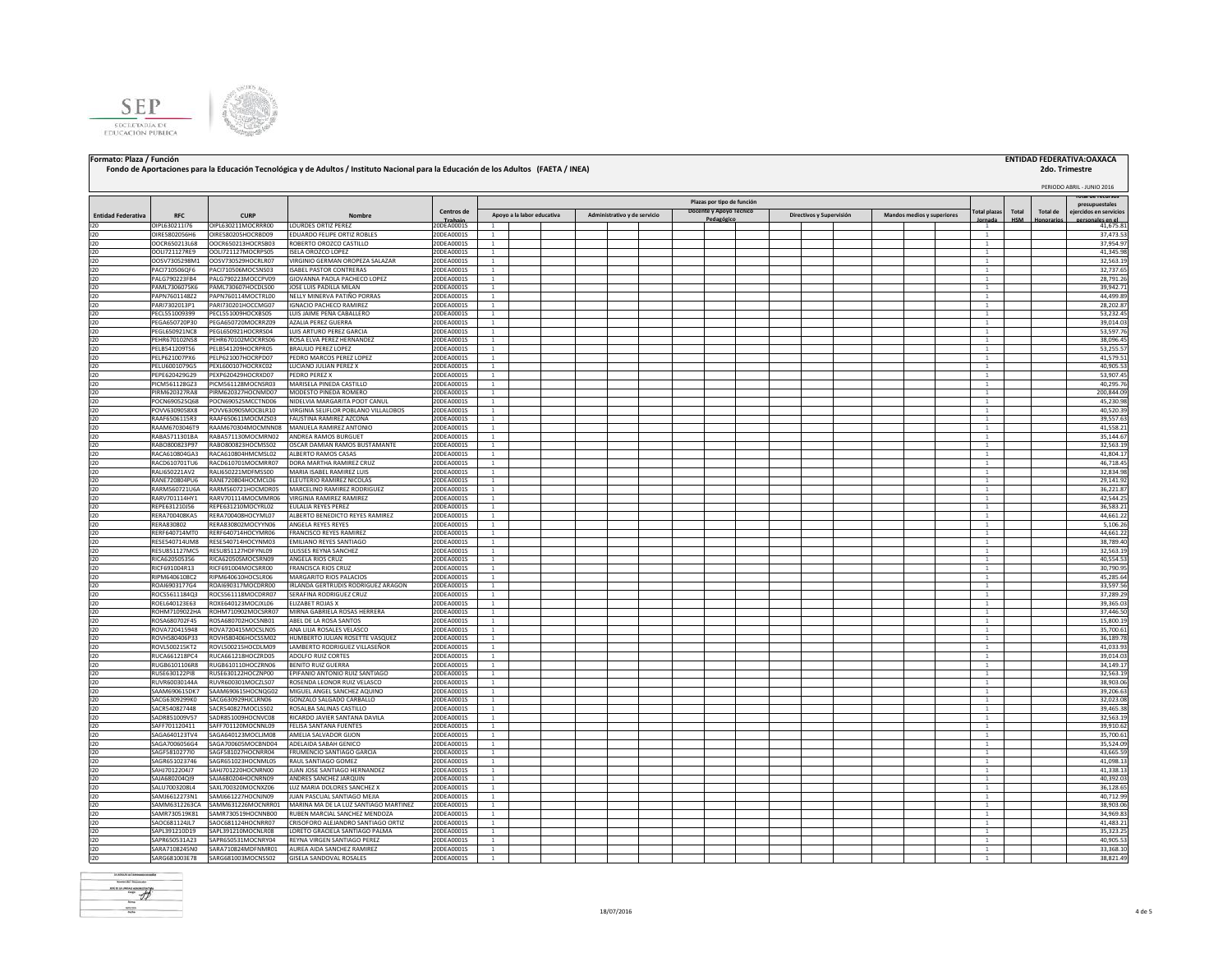



## **2do. Trimestre**

|                           |                                       |                                           |                                                                         |                          |                                                       |  |  |                              |  |  |           |  |  |                          |  |                                   |  |                        | PERIODO ABRIL - JUNIO 2016<br>rotar de recursos |                 |                                       |
|---------------------------|---------------------------------------|-------------------------------------------|-------------------------------------------------------------------------|--------------------------|-------------------------------------------------------|--|--|------------------------------|--|--|-----------|--|--|--------------------------|--|-----------------------------------|--|------------------------|-------------------------------------------------|-----------------|---------------------------------------|
|                           |                                       |                                           |                                                                         |                          | Plazas por tipo de función<br>Docente y Apoyo Técnico |  |  |                              |  |  |           |  |  |                          |  |                                   |  | presupuestales         |                                                 |                 |                                       |
| <b>Entidad Federativa</b> | <b>RFC</b>                            | <b>CURP</b>                               | Nombre                                                                  | Centros de<br>Trahai     | Apovo a la labor educativa                            |  |  | Administrativo y de servicio |  |  | Pedagógic |  |  | Directivos y Supervisión |  | <b>Mandos medios y superiores</b> |  | 'otal plazas<br>Iomada | Total<br>HSM                                    | <b>Total de</b> | ejercidos en servicios<br>lo no solcn |
| 120                       | OIPL630211I76                         | OIPL630211MOCRRR00                        | OURDES ORTIZ PEREZ                                                      | 20DEA0001S               |                                                       |  |  |                              |  |  |           |  |  |                          |  |                                   |  | -1                     |                                                 |                 | 41.675.81                             |
| 120                       | OIRE5802056H6                         | OIRE580205HOCRBD09                        | <b>DUARDO FELIPE ORTIZ ROBLES</b>                                       | 20DEA0001S               |                                                       |  |  |                              |  |  |           |  |  |                          |  |                                   |  | 1                      |                                                 |                 | 37.473.5                              |
| 120                       | OOCR650213L68                         | OOCR650213HOCRSB03                        | ROBERTO OROZCO CASTILLO                                                 | 20DEA0001S               |                                                       |  |  |                              |  |  |           |  |  |                          |  |                                   |  | $\mathbf{1}$           |                                                 |                 | 37,954.97                             |
| 120                       | OOLI721127RE9                         | OOLI721127MOCRPS05                        | <b>ISELA OROZCO LOPEZ</b>                                               | 20DEA0001S               |                                                       |  |  |                              |  |  |           |  |  |                          |  |                                   |  |                        |                                                 |                 | 41,345.98                             |
| 120                       | OOSV7305298M1                         | OOSV730529HOCRLR07                        | VIRGINIO GERMAN OROPEZA SALAZAR                                         | 20DEA0001S               | $\mathbf{1}$                                          |  |  |                              |  |  |           |  |  |                          |  |                                   |  | $\mathbf{1}$           |                                                 |                 | 32,563.19                             |
| 120                       | PACI710506QF6                         | PACI710506MOCSNS03                        | <b>ISABEL PASTOR CONTRERAS</b>                                          | 20DEA0001S               |                                                       |  |  |                              |  |  |           |  |  |                          |  |                                   |  | $\mathbf{1}$           |                                                 |                 | 32,737.6                              |
| 120                       | PALG790223FB4                         | PALG790223MOCCPV09                        | GIOVANNA PAOLA PACHECO LOPEZ                                            | 20DEA0001S               |                                                       |  |  |                              |  |  |           |  |  |                          |  |                                   |  | $\overline{1}$         |                                                 |                 | 28,791.2                              |
| 120                       | PAML7306075K6                         | PAML730607HOCDLS00                        | JOSE LUIS PADILLA MILAN                                                 | 20DEA0001S               | $\mathbf{1}$                                          |  |  |                              |  |  |           |  |  |                          |  |                                   |  | $\mathbf{1}$           |                                                 |                 | 39,942.7                              |
| 120                       | PAPN760114872                         | PAPN760114MOCTRL00                        | NELLY MINERVA PATIÑO PORRAS                                             | 20DEA0001S               | $\mathbf{1}$                                          |  |  |                              |  |  |           |  |  |                          |  |                                   |  | $\overline{1}$         |                                                 |                 | 44.499.89                             |
| 120                       | PARI7302013P1                         | PARI730201HOCCMG07                        | <b>IGNACIO PACHECO RAMIREZ</b>                                          | 20DEA0001S               | $\mathbf{1}$                                          |  |  |                              |  |  |           |  |  |                          |  |                                   |  | $\mathbf{1}$           |                                                 |                 | 28,202.8                              |
| 120                       | PECL551009399                         | PECL551009HOCXBS05                        | LUIS JAIME PEÑA CABALLERO                                               | 20DEA0001S               | $\mathbf{1}$                                          |  |  |                              |  |  |           |  |  |                          |  |                                   |  |                        |                                                 |                 | 53,232.4                              |
| 120                       | PEGA650720P30                         | PEGA650720MOCRRZ09                        | <b>AZALIA PEREZ GUERRA</b>                                              | 20DEA0001S               |                                                       |  |  |                              |  |  |           |  |  |                          |  |                                   |  |                        |                                                 |                 | 39,014.0                              |
| 120                       | PEGL650921NC8                         | PEGL650921HOCRRS04                        | LUIS ARTURO PEREZ GARCIA                                                | 20DEA0001S               |                                                       |  |  |                              |  |  |           |  |  |                          |  |                                   |  |                        |                                                 |                 | 53,597.76                             |
| 120                       | PEHR670102NS8                         | PEHR670102MOCRRS06                        | ROSA ELVA PEREZ HERNANDEZ                                               | 20DEA0001S               | <sup>1</sup>                                          |  |  |                              |  |  |           |  |  |                          |  |                                   |  | $\mathbf{1}$           |                                                 |                 | 38.096.4                              |
| 120                       | PELB541209TS6                         | PELB541209HOCRPR05                        | <b>BRAULIO PEREZ LOPEZ</b>                                              | 20DEA0001S               | <sup>1</sup>                                          |  |  |                              |  |  |           |  |  |                          |  |                                   |  | $\mathbf{1}$           |                                                 |                 | 53,255.57                             |
| 120                       | PELP621007PX6                         | PELP621007HOCRPD07                        | PEDRO MARCOS PEREZ LOPEZ                                                | 20DEA0001S               | <sup>1</sup>                                          |  |  |                              |  |  |           |  |  |                          |  |                                   |  | $\mathbf{1}$           |                                                 |                 | 41,579.51                             |
| 120                       | PELU6001079G5                         | PEXL600107HOCRXC02                        | LUCIANO JULIAN PEREZ X                                                  | 20DEA0001S               | $\mathbf{1}$                                          |  |  |                              |  |  |           |  |  |                          |  |                                   |  | $\mathbf{1}$           |                                                 |                 | 40.905.53                             |
| 120                       | PEPE620429G29                         | PEXP620429HOCRXD07                        | PEDRO PEREZ X                                                           | 20DEA0001S               |                                                       |  |  |                              |  |  |           |  |  |                          |  |                                   |  | $\mathbf{1}$           |                                                 |                 | 53,907.4                              |
| 120                       | ICM561128GZ3                          | PICM561128MOCNSR03                        | MARISELA PINEDA CASTILLO                                                | 20DEA0001S               |                                                       |  |  |                              |  |  |           |  |  |                          |  |                                   |  |                        |                                                 |                 | 40,295.7                              |
| 120                       | PIRM620327RA8                         | PIRM620327HOCNMD07                        | MODESTO PINEDA ROMERO                                                   | 20DEA0001S               |                                                       |  |  |                              |  |  |           |  |  |                          |  |                                   |  |                        |                                                 |                 | 200,844.09                            |
| 120                       | POCN690525Q68                         | POCN690525MCCTND06                        | NIDELVIA MARGARITA POOT CANUL                                           | 20DEA0001S               |                                                       |  |  |                              |  |  |           |  |  |                          |  |                                   |  | $\mathbf{1}$           |                                                 |                 | 45,230.98                             |
| 120                       | POVV6309058X8                         | POVV630905MOCBLR10                        | VIRGINIA SELIFLOR POBLANO VILLALOBOS                                    | 20DEA0001S               | $\overline{1}$                                        |  |  |                              |  |  |           |  |  |                          |  |                                   |  | $\sim$                 |                                                 |                 | 40,520.39                             |
| 120                       | RAAF6506115R3                         | RAAF650611MOCMZS03                        | <b>FAUSTINA RAMIREZ AZCONA</b>                                          | 20DEA0001S               |                                                       |  |  |                              |  |  |           |  |  |                          |  |                                   |  | $\mathbf{1}$           |                                                 |                 | 39,557.63                             |
| 120                       | RAAM6703046T9                         |                                           | RAAM670304MOCMNN08 MANUELA RAMIREZ ANTONIO                              | 20DEA0001S               | $\mathbf{1}$                                          |  |  |                              |  |  |           |  |  |                          |  |                                   |  | $\overline{1}$         |                                                 |                 | 41,558.2                              |
| 120                       | RABA5711301BA                         | RABA571130MOCMRN02                        | ANDREA RAMOS BURGUET                                                    | 20DEA0001S               | <sup>1</sup>                                          |  |  |                              |  |  |           |  |  |                          |  |                                   |  | $\mathbf{1}$           |                                                 |                 | 35,144.67                             |
| 120                       | RABO800823P97                         | RABO800823HOCMSS02                        | OSCAR DAMIAN RAMOS BUSTAMANTE                                           | 20DEA0001S               | $\overline{1}$                                        |  |  |                              |  |  |           |  |  |                          |  |                                   |  | $\overline{1}$         |                                                 |                 | 32,563.1                              |
| 120                       | RACA610804GA3                         | RACA610804HMCMSL02                        | ALBERTO RAMOS CASAS                                                     | 20DEA0001S               | $\mathbf{1}$                                          |  |  |                              |  |  |           |  |  |                          |  |                                   |  | $\mathbf{1}$           |                                                 |                 | 41.804.1                              |
| 120                       | RACD610701TU6                         | RACD610701MOCMRR07                        | DORA MARTHA RAMIREZ CRUZ                                                | 20DEA0001S               |                                                       |  |  |                              |  |  |           |  |  |                          |  |                                   |  | $\mathbf{1}$           |                                                 |                 | 46,718.45                             |
| 120                       | RALI650221AV2                         | RALI650221MDFMSS00                        | MARIA ISABEL RAMIREZ LUIS                                               | 20DEA0001S               |                                                       |  |  |                              |  |  |           |  |  |                          |  |                                   |  | $\mathbf{1}$           |                                                 |                 | 32,834.98                             |
| 120                       | RANE720804PU6                         | RANE720804HOCMCL06                        | ELEUTERIO RAMIREZ NICOLAS                                               | 20DEA0001S               |                                                       |  |  |                              |  |  |           |  |  |                          |  |                                   |  | $\mathbf{1}$           |                                                 |                 | 29,141.92                             |
| 120                       | RARM560721U6A                         | RARM560721HOCMDR05                        | MARCELINO RAMIREZ RODRIGUEZ                                             | 20DEA0001S               | $\overline{1}$                                        |  |  |                              |  |  |           |  |  |                          |  |                                   |  | $\mathbf{1}$           |                                                 |                 | 36,221.87                             |
| 120                       | RARV701114HY1                         | RARV701114MOCMMR06                        | VIRGINIA RAMIREZ RAMIREZ                                                | 20DEA0001S               | $\mathbf{1}$                                          |  |  |                              |  |  |           |  |  |                          |  |                                   |  | $\mathbf{1}$           |                                                 |                 | 42,544.25                             |
| 120                       | REPE631210J56                         | REPE631210MOCYRL02                        | FULALIA REYES PEREZ                                                     | 20DEA0001S               | -1                                                    |  |  |                              |  |  |           |  |  |                          |  |                                   |  | $\mathbf{1}$           |                                                 |                 | 36,583.21                             |
| 120                       | RERA700408KA5                         | RERA700408HOCYML07                        | ALBERTO BENEDICTO REYES RAMIREZ                                         | 20DEA0001S               | $\mathbf{1}$                                          |  |  |                              |  |  |           |  |  |                          |  |                                   |  | $\mathbf{1}$           |                                                 |                 | 44.661.22                             |
| 120                       | RERA830802                            | RERA830802MOCYYN06                        | ANGELA REYES REYES                                                      | 20DEA0001S               |                                                       |  |  |                              |  |  |           |  |  |                          |  |                                   |  | 1                      |                                                 |                 | 5,106.26                              |
| 120                       | RERF640714MT0                         | RERF640714HOCYMR06                        | FRANCISCO REYES RAMIREZ                                                 | 20DEA0001S               |                                                       |  |  |                              |  |  |           |  |  |                          |  |                                   |  |                        |                                                 |                 | 44,661.22                             |
| 120                       | RESE540714UM8                         | RESE540714HOCYNM03                        | <b>EMILIANO REYES SANTIAGO</b>                                          | 20DEA0001S               |                                                       |  |  |                              |  |  |           |  |  |                          |  |                                   |  |                        |                                                 |                 | 38,789.40                             |
| 120                       | RESU851127MC5                         | RESU851127HDFYNL09                        | ULISSES REYNA SANCHEZ                                                   | 20DEA0001S               |                                                       |  |  |                              |  |  |           |  |  |                          |  |                                   |  | $\mathbf{1}$           |                                                 |                 | 32,563.19                             |
| 120                       | RICA620505356                         | RICA620505MOCSRN09                        | ANGELA RIOS CRUZ                                                        | 20DEA0001S               | 1                                                     |  |  |                              |  |  |           |  |  |                          |  |                                   |  | $\mathbf{1}$           |                                                 |                 | 40,554.53                             |
| 120                       | RICF691004R13                         | RICF691004MOCSRR00                        | <b>FRANCISCA RIOS CRUZ</b>                                              | 20DEA0001S               | $\mathbf{1}$                                          |  |  |                              |  |  |           |  |  |                          |  |                                   |  | $\mathbf{1}$           |                                                 |                 | 30,790.9                              |
| 120                       | RIPM6406108C2                         | RIPM640610HOCSLR06                        | MARGARITO RIOS PALACIOS                                                 | 20DEA0001S               |                                                       |  |  |                              |  |  |           |  |  |                          |  |                                   |  | $\overline{1}$         |                                                 |                 | 45,285.6                              |
| 120                       | ROAI6903177G4                         | ROAI690317MOCDRR00                        | IRLANDA GERTRUDIS RODRIGUEZ ARAGON                                      | 20DEA0001S               |                                                       |  |  |                              |  |  |           |  |  |                          |  |                                   |  | $\mathbf{1}$           |                                                 |                 | 33.597.5                              |
| 120                       | ROCS5611184Q3                         | ROCS561118MOCDRR07                        | SERAFINA RODRIGUEZ CRUZ                                                 | 20DEA0001S               | $\mathbf{1}$                                          |  |  |                              |  |  |           |  |  |                          |  |                                   |  | $\mathbf{1}$           |                                                 |                 | 37,289.2                              |
|                           |                                       |                                           | <b>ELIZABET ROJAS X</b>                                                 |                          |                                                       |  |  |                              |  |  |           |  |  |                          |  |                                   |  |                        |                                                 |                 |                                       |
| 120                       | ROEL640123E63                         | ROXE640123MOCJXL06                        |                                                                         | 20DEA0001S               | $\overline{1}$                                        |  |  |                              |  |  |           |  |  |                          |  |                                   |  |                        |                                                 |                 | 39,365.0                              |
| 120                       | ROHM7109022HA                         | ROHM710902MOCSRR07                        | MIRNA GABRIELA ROSAS HERRERA                                            | 20DEA0001S               |                                                       |  |  |                              |  |  |           |  |  |                          |  |                                   |  |                        |                                                 |                 | 37,446.50                             |
| 120                       | ROSA680702F45                         | ROSA680702HOCSNB01                        | ABEL DE LA ROSA SANTOS                                                  | 20DEA0001S               | <sup>1</sup>                                          |  |  |                              |  |  |           |  |  |                          |  |                                   |  | $\mathbf{1}$           |                                                 |                 | 15,800.19                             |
| 120                       | ROVA720415948                         | ROVA720415MOCSLN05                        | ANA LILIA ROSALES VELASCO                                               | 20DEA0001S               | <sup>1</sup>                                          |  |  |                              |  |  |           |  |  |                          |  |                                   |  | $\mathbf{1}$           |                                                 |                 | 35,700.61                             |
| 120<br>120                | ECOMPORABINO<br><b>ROVI 500215KT2</b> | ROVH580406HOCSSM02<br>ROVI 500215HOCDLM09 | HUMBERTO JULIAN ROSETTE VASQUEZ<br><b>LAMBERTO RODRIGUEZ VILLASEÑOR</b> | 20DEA0001S<br>20DEA0001S | $\mathbf{1}$                                          |  |  |                              |  |  |           |  |  |                          |  |                                   |  | $\mathbf{1}$           |                                                 |                 | 36.189.79<br>41.033.93                |
|                           |                                       |                                           |                                                                         |                          | $\overline{1}$                                        |  |  |                              |  |  |           |  |  |                          |  |                                   |  | $\mathbf{1}$           |                                                 |                 |                                       |
| 120                       | RUCA661218PC4                         | RUCA661218HOCZRD05                        | ADOLFO RUIZ CORTES                                                      | 20DEA0001S               | -1                                                    |  |  |                              |  |  |           |  |  |                          |  |                                   |  | 1                      |                                                 |                 | 39,014.03                             |
| 120                       | RUGB6101106R8                         | RUGB610110HOCZRN06                        | <b>BENITO RUIZ GUERRA</b>                                               | 20DEA0001S               | -1                                                    |  |  |                              |  |  |           |  |  |                          |  |                                   |  | $\mathbf{1}$           |                                                 |                 | 34,149.17                             |
| 120                       | USE630122PI8                          | RUSE630122HOCZNP00                        | EPIFANIO ANTONIO RUIZ SANTIAGO                                          | 20DEA0001S               | -1.                                                   |  |  |                              |  |  |           |  |  |                          |  |                                   |  | 1                      |                                                 |                 | 32,563.1                              |
| 120                       | RUVR60030144A                         | RUVR600301MOCZLS07                        | ROSENDA LEONOR RUIZ VELASCO                                             | 20DEA0001S               |                                                       |  |  |                              |  |  |           |  |  |                          |  |                                   |  |                        |                                                 |                 | 38,903.0                              |
| 120                       | SAAM690615DK7                         | SAAM690615HOCNQG02                        | MIGUEL ANGEL SANCHEZ AQUINO                                             | 20DEA0001S               |                                                       |  |  |                              |  |  |           |  |  |                          |  |                                   |  |                        |                                                 |                 | 39,206.63                             |
| 120                       | SACG6309299K0                         | SACG630929HJCLRN06                        | GONZALO SALGADO CARBALLO                                                | 20DEA0001S               |                                                       |  |  |                              |  |  |           |  |  |                          |  |                                   |  | $\mathbf{1}$           |                                                 |                 | 32,023.08                             |
| 120                       | SACR540827448                         | SACR540827MOCLSS02                        | ROSALBA SALINAS CASTILLO                                                | 20DEA0001S               |                                                       |  |  |                              |  |  |           |  |  |                          |  |                                   |  | $\mathbf{1}$           |                                                 |                 | 39,465.38                             |
| 120                       | SADR851009V57                         | SADR851009HOCNVC08                        | RICARDO JAVIER SANTANA DAVILA                                           | 20DEA0001S               | $\mathbf{1}$                                          |  |  |                              |  |  |           |  |  |                          |  |                                   |  | $\sim$                 |                                                 |                 | 32,563.1                              |
| 120                       | SAFF701120411                         | SAFF701120MOCNNL09                        | <b>FELISA SANTANA FUENTES</b>                                           | 20DEA0001S               | $\mathbf{1}$                                          |  |  |                              |  |  |           |  |  |                          |  |                                   |  | $\overline{1}$         |                                                 |                 | 39,910.62                             |
| 120                       | SAGA640123TV4                         | SAGA640123MOCLIM08                        | AMELIA SALVADOR GIJON                                                   | 20DEA0001S               |                                                       |  |  |                              |  |  |           |  |  |                          |  |                                   |  | $\mathbf{1}$           |                                                 |                 | 35.700.61                             |
| 120                       | SAGA7006056G4                         | SAGA700605MOCBND04                        | ADELAIDA SABAH GENICO                                                   | 20DEA0001S               | $\overline{1}$                                        |  |  |                              |  |  |           |  |  |                          |  |                                   |  | $\mathbf{1}$           |                                                 |                 | 35,524.09                             |
| 120                       | SAGF5810277I0                         | SAGF581027HOCNRR04                        | <b>FRUMENCIO SANTIAGO GARCIA</b>                                        | 20DEA0001S               |                                                       |  |  |                              |  |  |           |  |  |                          |  |                                   |  |                        |                                                 |                 | 43,665.5                              |
| 120                       | SAGR651023746                         | SAGR651023HOCNML05                        | RAUL SANTIAGO GOMEZ                                                     | 20DEA0001S               |                                                       |  |  |                              |  |  |           |  |  |                          |  |                                   |  |                        |                                                 |                 | 41.098.1                              |
| 120                       | SAHJ7012204J7                         | SAHJ701220HOCNRN00                        | JUAN JOSE SANTIAGO HERNANDEZ                                            | 20DEA0001S               | $\overline{1}$                                        |  |  |                              |  |  |           |  |  |                          |  |                                   |  | $\mathbf{1}$           |                                                 |                 | 41,338.13                             |
| 120                       | SAJA680204QI9                         | SAJA680204HOCNRN09                        | ANDRES SANCHEZ JARQUIN                                                  | 20DEA0001S               | <sup>1</sup>                                          |  |  |                              |  |  |           |  |  |                          |  |                                   |  | $\mathbf{1}$           |                                                 |                 | 40,392.03                             |
| 120                       | SALU7003208L4                         | SAXL700320MOCNXZ06                        | LUZ MARIA DOLORES SANCHEZ X                                             | 20DEA0001S               | -1                                                    |  |  |                              |  |  |           |  |  |                          |  |                                   |  | 1                      |                                                 |                 | 36,128.65                             |
| 120                       | SAMJ6612273N1                         | <b>SAMI661227HOCNIN09</b>                 | IUAN PASCUAL SANTIAGO MEIIA                                             | 20DEA0001S               | $\overline{1}$                                        |  |  |                              |  |  |           |  |  |                          |  |                                   |  | $\mathbf{1}$           |                                                 |                 | 40.712.99                             |
| 120                       | SAMM6312263CA                         | SAMM631226MOCNRR01                        | MARINA MA DE LA LUZ SANTIAGO MARTINEZ                                   | 20DEA0001S               | 1                                                     |  |  |                              |  |  |           |  |  |                          |  |                                   |  | 1                      |                                                 |                 | 38,903.06                             |
| 120                       | SAMR730519K81                         | SAMR730519HOCNNB00                        | RUBEN MARCIAL SANCHEZ MENDOZA                                           | 20DEA0001S               | 1                                                     |  |  |                              |  |  |           |  |  |                          |  |                                   |  | $\mathbf{1}$           |                                                 |                 | 34,969.83                             |
| 120                       | SAOC681124JL7                         | SAOC681124HOCNRR07                        | CRISOFORO ALEJANDRO SANTIAGO ORTIZ                                      | 20DEA0001S               |                                                       |  |  |                              |  |  |           |  |  |                          |  |                                   |  |                        |                                                 |                 | 41,483.21                             |
| 120                       | SAPL391210D19                         | SAPL391210MOCNLR08                        | LORETO GRACIELA SANTIAGO PALMA                                          | 20DEA0001S               |                                                       |  |  |                              |  |  |           |  |  |                          |  |                                   |  |                        |                                                 |                 | 35,323.2                              |
| 120                       | SAPR650531A23                         | SAPR650531MOCNRY04                        | REYNA VIRGEN SANTIAGO PEREZ                                             | 20DEA0001S               |                                                       |  |  |                              |  |  |           |  |  |                          |  |                                   |  | $\mathbf{1}$           |                                                 |                 | 40,905.5                              |
| 120                       | SARA7108245N0                         | SARA710824MDFNMR01                        | AUREA AIDA SANCHEZ RAMIREZ                                              | 20DEA0001S               |                                                       |  |  |                              |  |  |           |  |  |                          |  |                                   |  | $\overline{1}$         |                                                 |                 | 33,368.1                              |
| 120                       | SARG681003E78                         |                                           | SARG681003MOCNSS02 GISELA SANDOVAL ROSALES                              | 20DEA0001S               | $\mathbf{1}$                                          |  |  |                              |  |  |           |  |  |                          |  |                                   |  | $\overline{1}$         |                                                 |                 | 38,821.49                             |
|                           |                                       |                                           |                                                                         |                          |                                                       |  |  |                              |  |  |           |  |  |                          |  |                                   |  |                        |                                                 |                 |                                       |